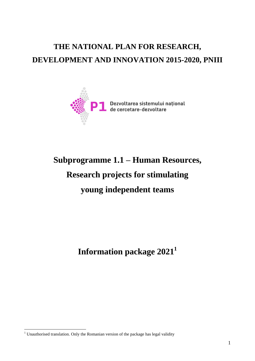## **THE NATIONAL PLAN FOR RESEARCH, DEVELOPMENT AND INNOVATION 2015-2020, PNIII**



# **Subprogramme 1.1 – Human Resources, Research projects for stimulating young independent teams**

**Information package 2021<sup>1</sup>**

1

<sup>&</sup>lt;sup>1</sup> Unauthorised translation. Only the Romanian version of the package has legal validity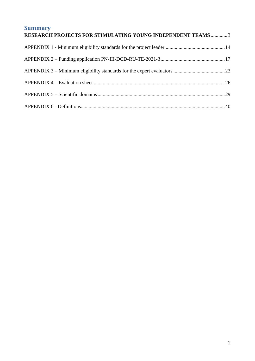| <b>Summary</b><br><b>RESEARCH PROJECTS FOR STIMULATING YOUNG INDEPENDENT TEAMS3</b> |  |
|-------------------------------------------------------------------------------------|--|
|                                                                                     |  |
|                                                                                     |  |
|                                                                                     |  |
|                                                                                     |  |
|                                                                                     |  |
|                                                                                     |  |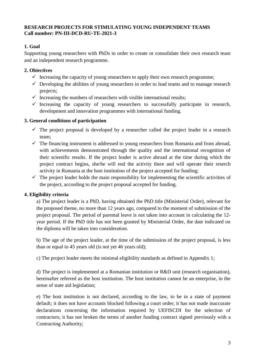## <span id="page-2-0"></span>**RESEARCH PROJECTS FOR STIMULATING YOUNG INDEPENDENT TEAMS Call number***:* **PN-III-DCD-RU-TE-2021-3**

## **1. Goal**

Supporting young researchers with PhDs in order to create or consolidate their own research team and an independent research programme.

## **2. Obiectives**

- $\checkmark$  Increasing the capacity of young researchers to apply their own research programme;
- $\checkmark$  Developing the abilities of young researchers in order to lead teams and to manage research projects;
- $\checkmark$  Increasing the numbers of researchers with visible international results;
- $\checkmark$  Increasing the capacity of young researchers to successfully participate in research, development and innovation programmes with international funding.

## **3. General conditions of participation**

- $\checkmark$  The project proposal is developed by a researcher called the project leader in a research team;
- $\checkmark$  The financing instrument is addressed to young researchers from Romania and from abroad, with achievements demonstrated through the quality and the international recognition of their scientific results. If the project leader is active abroad at the time during which the project contract begins, she/he will end the activity there and will operate their reserch activity in Romania at the host institution of the project accepted for funding;
- $\checkmark$  The project leader holds the main responsibility for implementing the scientific activities of the project, according to the project proposal accepted for funding.

## **4. Eligibility criteria**

a) The project leader is a PhD, having obtained the PhD title (Ministerial Order), relevant for the proposed theme, no more than 12 years ago, compared to the moment of submission of the project proposal. The period of parental leave is not taken into account in calculating the 12 year period. If the PhD title has not been granted by Ministerial Order, the date indicated on the diploma will be taken into consideration.

b) The age of the project leader, at the time of the submission of the project proposal, is less than or equal to 45 years old (is not yet 46 years old);

c) The project leader meets the minimal eligibility standards as defined in Appendix 1;

d) The project is implemented at a Romanian institution or R&D unit (research organisation), hereinafter referred as the host institution. The host institution cannot be an enterprise, in the sense of state aid legislation;

e) The host institution is not declared, according to the law, to be in a state of payment default; it does not have accounts blocked following a court order; it has not made inaccurate declarations concerning the information required by UEFISCDI for the selection of contractors; it has not broken the terms of another funding contract signed previously with a Contracting Authority;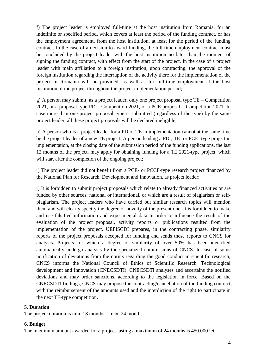f) The project leader is employed full-time at the host institution from Romania, for an indefinite or specified period, which covers at least the period of the funding contract, or has the employment agreement, from the host institution, at least for the period of the funding contract. In the case of a decision to award funding, the full-time employment contract must be concluded by the project leader with the host institution no later than the moment of signing the funding contract, with effect from the start of the project. In the case of a project leader with main affiliation to a foreign institution, upon contracting, the approval of the foreign institution regarding the interruption of the activity there for the implementation of the project in Romania will be provided, as well as for full-time employment at the host institution of the project throughout the project implementation period;

g) A person may submit, as a project leader, only one project proposal type TE – Competition 2021, or a proposal type PD – Competition 2021, or a PCE proposal – Competition 2021. In case more than one project proposal type is submitted (regardless of the type) by the same project leader, all these project proposals will be declared ineligible;

h) A person who is a project leader for a PD or TE in implementation cannot at the same time be the project leader of a new TE project. A person leading a PD-, TE- or PCE- type project in implementation, at the closing date of the submission period of the funding applications, the last 12 months of the project, may apply for obtaining funding for a TE 2021-type project, which will start after the completion of the ongoing project;

i) The project leader did not benefit from a PCE- or PCCF-type research project financed by the National Plan for Research, Development and Innovation, as project leader;

j) It is forbidden to submit project proposals which relate to already financed activities or are funded by other sources, national or international, or which are a result of plagiarism or selfplagiarism. The project leaders who have carried out similar research topics will mention them and will clearly specify the degree of novelty of the present one. It is forbidden to make and use falsified information and experimental data in order to influence the result of the evaluation of the project proposal, activity reports or publications resulted from the implementation of the project. UEFISCDI prepares, in the contracting phase, similarity reports of the project proposals accepted for funding and sends these reports to CNCS for analysis. Projects for which a degree of similarity of over 50% has been identified automatically undergo analysis by the specialized commissions of CNCS. In case of some notification of deviations from the norms regarding the good conduct in scientific research, CNCS informs the National Council of Ethics of Scientific Research, Technological development and Innovation (CNECSDTI). CNECSDTI analyses and ascertains the notified deviations and may order sanctions, according to the legislation in force. Based on the CNECSDTI findings, CNCS may propose the contracting/cancellation of the funding contract, with the reimbursement of the amounts used and the interdiction of the right to participate in the next TE-type competition.

#### **5. Duration**

The project duration is min. 18 months – max. 24 months.

#### **6. Budget**

The maximum amount awarded for a project lasting a maximum of 24 months is 450.000 lei.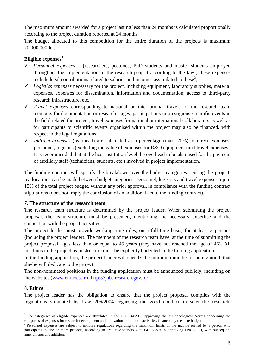The maximum amount awarded for a project lasting less than 24 months is calculated proportionally according to the project duration reported at 24 months.

The budget allocated to this competition for the entire duration of the projects is maximum 70.000.000 lei.

## **Eligible expenses<sup>2</sup>**

- *Personnel expenses* (researchers, postdocs, PhD students and master students employed throughout the implementation of the research project according to the law;) these expenses include legal contributions related to salaries and incomes assimilated to these<sup>3</sup>;
- *Logistics expenses* necessary for the project, including equipment, laboratory supplies, material expenses, expenses for dissemination, information and documentation, access to third-party research infrastructure, etc.;
- *Travel expenses* corresponding to national or international travels of the research team members for documentation or research stages, participations in prestigious scientific events in the field related the project; travel expenses for national or international collaborators as well as for participants to scientific events organised within the project may also be financed, with respect to the legal regulations;
- $\checkmark$  Indirect expenses (overhead) are calculated as a percentage (max. 20%) of direct expenses: personnel, logistics (excluding the value of expenses for R&D equipment) and travel expenses. It is recommended that at the host institution level the overhead to be also used for the payment of auxiliary staff (technicians, students, etc.) involved in project implementation.

The funding contract will specify the breakdown over the budget categories. During the project, reallocations can be made between budget categories: personnel, logistics and travel expenses, up to 15% of the total project budget, without any prior approval, in compliance with the funding contract stipulations (does not imply the conclusion of an additional act to the funding contract).

## **7. The structure of the research team**

The research team structure is determined by the project leader. When submitting the project proposal, the team structure must be presented, mentioning the necessary expertise and the connection with the project activities.

The project leader must provide working time rules, on a full-time basis, for at least 3 persons (including the project leader). The members of the research team have, at the time of submitting the project proposal, ages less than or equal to 45 years (they have not reached the age of 46). All positions in the project team structure must be explicitly budgeted in the funding application.

In the funding application, the project leader will specify the minimum number of hours/month that she/he will dedicate to the project.

The non-nominated positions in the funding application must be announced publicly, including on the websites [\(www.euraxess.ro,](http://www.euraxess.ro/) [https://jobs.research.gov.ro/\)](https://jobs.research.gov.ro/).

## **8. Ethics**

<u>.</u>

The project leader has the obligation to ensure that the project proposal complies with the regulations stipulated by Law 206/2004 regarding the good conduct in scientific research,

 $2$  The categories of eligible expenses are stipulated in the GD 134/2011 approving the Methodological Norms concerning the categories of expenses for research development and innovation stimulation activities, financed by the state budget;<br><sup>3</sup> Demannal synonese are subject to in farse resultions research a be maximum limits of the income camed

Personnel expenses are subject to in-force regulations regarding the maximum limits of the income earned by a person who participates in one or more projects, according to art. 26 Appendix 2 to GD 583/2015 approving PNCDI III, with subsequent amendments and additions.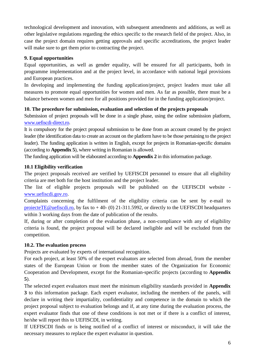technological development and innovation, with subsequent amendments and additions, as well as other legislative regulations regarding the ethics specific to the research field of the project. Also, in case the project domain requires getting approvals and specific accreditations, the project leader will make sure to get them prior to contracting the project.

## **9. Equal opportunities**

Equal opportunities, as well as gender equality, will be ensured for all participants, both in programme implementation and at the project level, in accordance with national legal provisions and European practices.

In developing and implementing the funding application/project, project leaders must take all measures to promote equal opportunities for women and men. As far as possible, there must be a balance between women and men for all positions provided for in the funding application/project.

## **10. The procedure for submission, evaluation and selection of the projects proposals**

Submission of project proposals will be done in a single phase, using the online submission platform, [www.uefiscdi-direct.ro.](http://www.uefiscdi-direct.ro/)

It is compulsory for the project proposal submission to be done from an account created by the project leader (the identification data to create an account on the platform have to be those pertaining to the project leader). The funding application is written in English, except for projects in Romanian-specific domains (according to **Appendix 5**), where writing in Romanian is allowed.

The funding application will be elaborated according to **Appendix 2** in this information package.

## **10.1 Eligibility verification**

The project proposals received are verified by UEFISCDI personnel to ensure that all eligibility criteria are met both for the host institution and the project leader.

The list of eligible projects proposals will be published on the UEFISCDI website [www.uefiscdi.gov.ro.](http://www.uefiscdi.gov.ro/)

Complaints concerning the fulfilment of the eligibility criteria can be sent by e-mail to [proiecteTE@uefiscdi.ro,](mailto:proiecteTE@uefiscdi.ro) by fax to  $+$  40- (0) 21-311.5992, or directly to the UEFISCDI headquarters within 3 working days from the date of publication of the results.

If, during or after completion of the evaluation phase, a non-compliance with any of eligibility criteria is found, the project proposal will be declared ineligible and will be excluded from the competition.

## **10.2. The evaluation process**

Projects are evaluated by experts of international recognition.

For each project, at least 50% of the expert evaluators are selected from abroad, from the member states of the European Union or from the member states of the Organization for Economic Cooperation and Development, except for the Romanian-specific projects (according to **Appendix 5**).

The selected expert evaluators must meet the minimum eligibility standards provided in **Appendix 3** to this information package. Each expert evaluator, including the members of the panels, will declare in writing their impartiality, confidentiality and competence in the domain to which the project proposal subject to evaluation belongs and if, at any time during the evaluation process, the expert evaluator finds that one of these conditions is not met or if there is a conflict of interest, he/she will report this to UEFISCDI, in writing.

If UEFISCDI finds or is being notified of a conflict of interest or misconduct, it will take the necessary measures to replace the expert evaluator in question.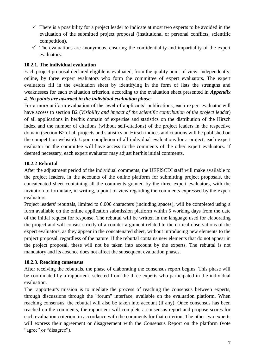- $\checkmark$  There is a possibility for a project leader to indicate at most two experts to be avoided in the evaluation of the submitted project proposal (institutional or personal conflicts, scientific competition).
- $\checkmark$  The evaluations are anonymous, ensuring the confidentiality and impartiality of the expert evaluators.

## **10.2.1. The individual evaluation**

Each project proposal declared eligible is evaluated, from the quality point of view, independently, online, by three expert evaluators who form the committee of expert evaluators. The expert evaluators fill in the evaluation sheet by identifying in the form of lists the strengths and weaknesses for each evaluation criterion, according to the evaluation sheet presented in *Appendix 4. No points are awarded in the individual evaluation phase.*

For a more uniform evaluation of the level of applicants' publications, each expert evaluator will have access to section B2 (*Visibility and impact of the scientific contribution of the project leader*) of all applications in her/his domain of expertise and statistics on the distribution of the Hirsch index and the number of citations (without self-citations) of the project leaders in the respective domain (section B2 of all projects and statistics on Hirsch indices and citations will be published on the competition website). Upon completion of all individual evaluations for a project, each expert evaluator on the committee will have access to the comments of the other expert evaluators. If deemed necessary, each expert evaluator may adjust her/his initial comments.

## **10.2.2 Rebuttal**

After the adjustment period of the individual comments, the UEFISCDI staff will make available to the project leaders, in the accounts of the online platform for submitting project proposals, the concatenated sheet containing all the comments granted by the three expert evaluators, with the invitation to formulate, in writing, a point of view regarding the comments expressed by the expert evaluators.

Project leaders' rebuttals, limited to 6.000 characters (including spaces), will be completed using a form available on the online application submission platform within 5 working days from the date of the initial request for response. The rebuttal will be written in the language used for elaborating the project and will consist strictly of a counter-argument related to the critical observations of the expert evaluators, as they appear in the concatenated sheet, without introducing new elements to the project proposal, regardless of the nature. If the rebuttal contains new elements that do not appear in the project proposal, these will not be taken into account by the experts. The rebuttal is not mandatory and its absence does not affect the subsequent evaluation phases.

#### **10.2.3. Reaching consensus**

After receiving the rebuttals, the phase of elaborating the consensus report begins. This phase will be coordinated by a rapporteur, selected from the three experts who participated in the individual evaluation.

The rapporteur's mission is to mediate the process of reaching the consensus between experts, through discussions through the "forum" interface, available on the evaluation platform. When reaching consensus, the rebuttal will also be taken into account (if any). Once consensus has been reached on the comments, the rapporteur will complete a consensus report and propose scores for each evaluation criterion, in accordance with the comments for that criterion. The other two experts will express their agreement or disagreement with the Consensus Report on the platform (vote "agree" or "disagree").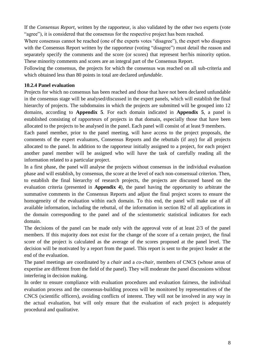If the *Consensus Report*, written by the rapporteur, is also validated by the other two experts (vote "agree"), it is considered that the consensus for the respective project has been reached.

Where consensus cannot be reached (one of the experts votes "disagree"), the expert who disagrees with the Consensus Report written by the rapporteur (voting "disagree") must detail the reason and separately specify the comments and the score (or scores) that represent her/his minority option. These minority comments and scores are an integral part of the Consensus Report.

Following the consensus, the projects for which the consensus was reached on all sub-criteria and which obtained less than 80 points in total are declared *unfundable*.

#### **10.2.4 Panel evaluation**

Projects for which no consensus has been reached and those that have not been declared unfundable in the consensus stage will be analysed/discussed in the expert panels, which will establish the final hierarchy of projects. The subdomains in which the projects are submitted will be grouped into 12 domains, according to **Appendix 5**. For each domain indicated in **Appendix 5**, a panel is established consisting of rapporteurs of projects in that domain, especially those that have been allocated to the projects to be analysed in the panel. Each panel will consist of at least 9 members.

Each panel member, prior to the panel meeting, will have access to the project proposals, the comments of the expert evaluators, Consensus Reports and the rebuttals (if any) for all projects allocated to the panel. In addition to the rapporteur initially assigned to a project, for each project another panel member will be assigned who will have the task of carefully reading all the information related to a particular project.

In a first phase, the panel will analyse the projects without consensus in the individual evaluation phase and will establish, by consensus, the score at the level of each non-consensual criterion. Then, to establish the final hierarchy of research projects, the projects are discussed based on the evaluation criteria (presented in **Appendix 4**), the panel having the opportunity to arbitrate the summative comments in the Consensus Reports and adjust the final project scores to ensure the homogeneity of the evaluation within each domain. To this end, the panel will make use of all available information, including the rebuttal, of the information in section B2 of all applications in the domain corresponding to the panel and of the scientometric statistical indicators for each domain.

The decisions of the panel can be made only with the approval vote of at least 2/3 of the panel members. If this majority does not exist for the change of the score of a certain project, the final score of the project is calculated as the average of the scores proposed at the panel level. The decision will be motivated by a report from the panel. This report is sent to the project leader at the end of the evaluation.

The panel meetings are coordinated by a *chair* and a *co-chair*, members of CNCS (whose areas of expertise are different from the field of the panel). They will moderate the panel discussions without interfering in decision making.

In order to ensure compliance with evaluation procedures and evaluation fairness, the individual evaluation process and the consensus-building process will be monitored by representatives of the CNCS (scientific officers), avoiding conflicts of interest. They will not be involved in any way in the actual evaluation, but will only ensure that the evaluation of each project is adequately procedural and qualitative.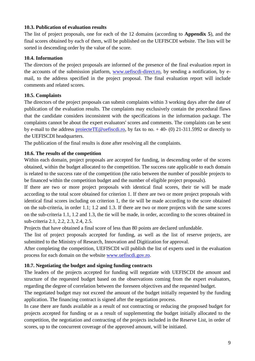#### **10.3. Publication of evaluation results**

The list of project proposals, one for each of the 12 domains (according to **Appendix 5**), and the final scores obtained by each of them, will be published on the UEFISCDI website. The lists will be sorted in descending order by the value of the score.

## **10.4. Information**

The directors of the project proposals are informed of the presence of the final evaluation report in the accounts of the submission platform, [www.uefiscdi-direct.ro,](http://www.uefiscdi-direct.ro/) by sending a notification, by email, to the address specified in the project proposal. The final evaluation report will include comments and related scores.

## **10.5. Complaints**

The directors of the project proposals can submit complaints within 3 working days after the date of publication of the evaluation results. The complaints may exclusively contain the procedural flaws that the candidate considers inconsistent with the specifications in the information package. The complaints cannot be about the expert evaluators' scores and comments. The complaints can be sent by e-mail to the address projecteTE@uefiscdi.ro, by fax to no.  $+$ 40- (0) 21-311.5992 or directly to the UEFISCDI headquarters.

The publication of the final results is done after resolving all the complaints.

## **10.6. The results of the competition**

Within each domain, project proposals are accepted for funding, in descending order of the scores obtained, within the budget allocated to the competition. The success rate applicable to each domain is related to the success rate of the competition (the ratio between the number of possible projects to be financed within the competition budget and the number of eligible project proposals).

If there are two or more project proposals with identical final scores, their tie will be made according to the total score obtained for criterion 1. If there are two or more project proposals with identical final scores including on criterion 1, the tie will be made according to the score obtained on the sub-criteria, in order 1.1; 1.2 and 1.3. If there are two or more projects with the same scores on the sub-criteria 1.1, 1.2 and 1.3, the tie will be made, in order, according to the scores obtained in sub-criteria 2.1, 2.2, 2.3, 2.4, 2.5.

Projects that have obtained a final score of less than 80 points are declared unfundable.

The list of project proposals accepted for funding, as well as the list of reserve projects, are submitted to the Ministry of Research, Innovation and Digitization for approval.

After completing the competition, UEFISCDI will publish the list of experts used in the evaluation process for each domain on the website [www.uefiscdi.gov.ro.](http://www.uefiscdi.gov.ro/)

## **10.7. Negotiating the budget and signing funding contracts**

The leaders of the projects accepted for funding will negotiate with UEFISCDI the amount and structure of the requested budget based on the observations coming from the expert evaluators, regarding the degree of correlation between the foreseen objectives and the requested budget.

The negotiated budget may not exceed the amount of the budget initially requested by the funding application. The financing contract is signed after the negotiation process.

In case there are funds available as a result of not contracting or reducing the proposed budget for projects accepted for funding or as a result of supplementing the budget initially allocated to the competition, the negotiation and contracting of the projects included in the Reserve List, in order of scores, up to the concurrent coverage of the approved amount, will be initiated.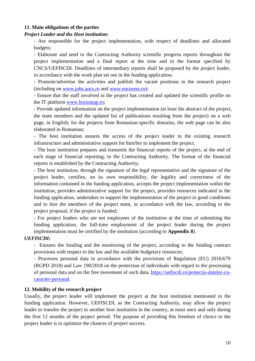#### **11. Main obligations of the parties**

#### *Project Leader and the Host institution:*

- Are responsible for the project implementation, with respect of deadlines and allocated budgets;

- Elaborate and send to the Contracting Authority scientific progress reports throughout the project implementation and a final report at the time and in the format specified by CNCS/UEFISCDI. Deadlines of intermediary reports shall be proposed by the project leader, in accordance with the work plan set out in the funding application;

- Promote/advertise the activities and publish the vacant positions in the research project (including on [www.jobs.ancs.ro](http://www.jobs.ancs.ro/) and [www.euraxess.ro\)](http://www.euraxess.ro/);

- Ensure that the staff involved in the project has created and updated the scientific profile on the IT platform [www.brainmap.ro;](http://www.brainmap.ro/)

- Provide updated information on the project implementation (at least the abstract of the project, the team members and the updated list of publications resulting from the project) on a web page, in English; for the projects from Romanian-specific domains, the web page can be also elaborated in Romanian;

- The host institution assures the access of the project leader to the existing research infrastructure and administrative support for him/her to implement the project.

- The host institution prepares and transmits the financial reports of the project, at the end of each stage of financial reporting, to the Contracting Authority. The format of the financial reports is established by the Contracting Authority;

- The host institution, through the signature of the legal representative and the signature of the project leader, certifies, on its own responsibility, the legality and correctness of the information contained in the funding application, accepts the project implementation within the institution, provides administrative support for the project, provides resources indicated in the funding application, undertakes to support the implementation of the project in good conditions and to hire the members of the project team, in accordance with the law, according to the project proposal, if the project is funded;

- For project leaders who are not employees of the institution at the time of submitting the funding application, the full-time employment of the project leader during the project implementation must be certified by the institution (according to **Appendix 8**).

#### *UEFISCDI:*

- Ensures the funding and the monitoring of the project, according to the funding contract provisions with respect to the law and the available budgetary resources;

- Processes personal data in accordance with the provisions of Regulation (EU) 2016/679 (RGPD 2018) and Law 190/2018 on the protection of individuals with regard to the processing of personal data and on the free movement of such data, [https://uefiscdi.ro/protectia-datelor-cu](https://uefiscdi.ro/protectia-datelor-cu-caracter-personal)[caracter-personal.](https://uefiscdi.ro/protectia-datelor-cu-caracter-personal)

#### **12. Mobility of the research project**

Usually, the project leader will implement the project at the host institution mentioned in the funding application. However, UEFISCDI, as the Contracting Authority, may allow the project leader to transfer the project to another host institution in the country, at most once and only during the first 12 months of the project period. The purpose of providing this freedom of choice to the project leader is to optimize the chances of project success.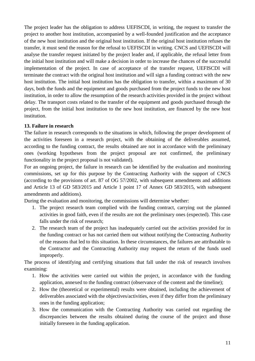The project leader has the obligation to address UEFISCDI, in writing, the request to transfer the project to another host institution, accompanied by a well-founded justification and the acceptance of the new host institution and the original host institution. If the original host institution refuses the transfer, it must send the reason for the refusal to UEFISCDI in writing. CNCS and UEFISCDI will analyse the transfer request initiated by the project leader and, if applicable, the refusal letter from the initial host institution and will make a decision in order to increase the chances of the successful implementation of the project. In case of acceptance of the transfer request, UEFISCDI will terminate the contract with the original host institution and will sign a funding contract with the new host institution. The initial host institution has the obligation to transfer, within a maximum of 30 days, both the funds and the equipment and goods purchased from the project funds to the new host institution, in order to allow the resumption of the research activities provided in the project without delay. The transport costs related to the transfer of the equipment and goods purchased through the project, from the initial host institution to the new host institution, are financed by the new host institution.

#### **13. Failure in research**

The failure in research corresponds to the situations in which, following the proper development of the activities foreseen in a research project, with the obtaining of the deliverables assumed, according to the funding contract, the results obtained are not in accordance with the preliminary ones (working hypotheses from the project proposal are not confirmed, the preliminary functionality in the project proposal is not validated).

For an ongoing project, the failure in research can be identified by the evaluation and monitoring commissions, set up for this purpose by the Contracting Authority with the support of CNCS (according to the provisions of art. 87 of OG 57/2002, with subsequent amendments and additions and Article 13 of GD 583/2015 and Article 1 point 17 of Annex GD 583/2015, with subsequent amendments and additions).

During the evaluation and monitoring, the commissions will determine whether:

- 1. The project research team complied with the funding contract, carrying out the planned activities in good faith, even if the results are not the preliminary ones (expected). This case falls under the risk of research;
- 2. The research team of the project has inadequately carried out the activities provided for in the funding contract or has not carried them out without notifying the Contracting Authority of the reasons that led to this situation. In these circumstances, the failures are attributable to the Contractor and the Contracting Authority may request the return of the funds used improperly.

The process of identifying and certifying situations that fall under the risk of research involves examining:

- 1. How the activities were carried out within the project, in accordance with the funding application, annexed to the funding contract (observance of the content and the timeline);
- 2. How the (theoretical or experimental) results were obtained, including the achievement of deliverables associated with the objectives/activities, even if they differ from the preliminary ones in the funding application;
- 3. How the communication with the Contracting Authority was carried out regarding the discrepancies between the results obtained during the course of the project and those initially foreseen in the funding application.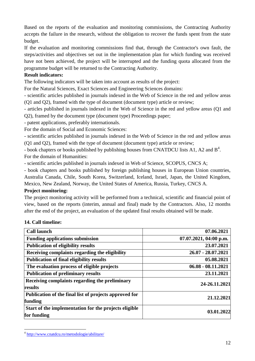Based on the reports of the evaluation and monitoring commissions, the Contracting Authority accepts the failure in the research, without the obligation to recover the funds spent from the state budget.

If the evaluation and monitoring commissions find that, through the Contractor's own fault, the steps/activities and objectives set out in the implementation plan for which funding was received have not been achieved, the project will be interrupted and the funding quota allocated from the programme budget will be returned to the Contracting Authority.

#### **Result indicators:**

The following indicators will be taken into account as results of the project:

For the Natural Sciences, Exact Sciences and Engineering Sciences domains:

- scientific articles published in journals indexed in the Web of Science in the red and yellow areas (Q1 and Q2), framed with the type of document (document type) article or review;

- articles published in journals indexed in the Web of Science in the red and yellow areas (Q1 and Q2), framed by the document type (document type) Proceedings paper;

- patent applications, preferably internationals.

For the domain of Social and Economic Sciences:

- scientific articles published in journals indexed in the Web of Science in the red and yellow areas (Q1 and Q2), framed with the type of document (document type) article or review;

- book chapters or books published by publishing houses from CNATDCU lists A1, A2 and  $B^4$ . For the domain of Humanities:

- scientific articles published in journals indexed in Web of Science, SCOPUS, CNCS A;

- book chapters and books published by foreign publishing houses in European Union countries, Australia Canada, Chile, South Korea, Switzerland, Iceland, Israel, Japan, the United Kingdom, Mexico, New Zealand, Norway, the United States of America, Russia, Turkey, CNCS A.

## **Project monitoring:**

The project monitoring activity will be performed from a technical, scientific and financial point of view, based on the reports (interim, annual and final) made by the Contractors. Also, 12 months after the end of the project, an evaluation of the updated final results obtained will be made.

## **14. Call timeline:**

1

| <b>Call launch</b>                                                   | 07.06.2021               |
|----------------------------------------------------------------------|--------------------------|
| <b>Funding applications submission</b>                               | $07.07.2021, 04:00$ p.m. |
| <b>Publication of eligibility results</b>                            | 23.07.2021               |
| Receiving complaints regarding the eligibility                       | 26.07 - 28.07.2021       |
| <b>Publication of final eligibility results</b>                      | 05.08.2021               |
| The evaluation process of eligible projects                          | $06.08 - 08.11.2021$     |
| <b>Publication of preliminary results</b>                            | 23.11.2021               |
| Receiving complaints regarding the preliminary<br>results            | 24-26.11.2021            |
| Publication of the final list of projects approved for<br>funding    | 21.12.2021               |
| Start of the implementation for the projects eligible<br>for funding | 03.01.2022               |

<sup>&</sup>lt;sup>4</sup> <http://www.cnatdcu.ro/metodologie/abilitare/>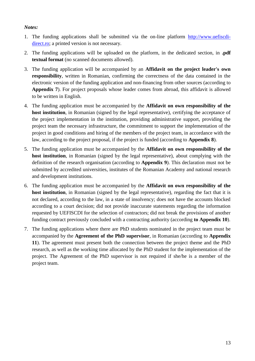## *Notes:*

- 1. The funding applications shall be submitted via the on-line platform [http://www.uefiscdi](http://www.uefiscdi-direct.ro/)[direct.ro;](http://www.uefiscdi-direct.ro/) a printed version is not necessary.
- 2. The funding applications will be uploaded on the platform, in the dedicated section, in **.pdf textual format** (no scanned documents allowed).
- 3. The funding application will be accompanied by an **Affidavit on the project leader's own responsibility**, written in Romanian, confirming the correctness of the data contained in the electronic version of the funding application and non-financing from other sources (according to **Appendix 7**). For project proposals whose leader comes from abroad, this affidavit is allowed to be written in English.
- 4. The funding application must be accompanied by the **Affidavit on own responsibility of the host institution**, in Romanian (signed by the legal representative), certifying the acceptance of the project implementation in the institution, providing administrative support, providing the project team the necessary infrastructure, the commitment to support the implementation of the project in good conditions and hiring of the members of the project team, in accordance with the law, according to the project proposal, if the project is funded (according to **Appendix 8**).
- 5. The funding application must be accompanied by the **Affidavit on own responsibility of the host institution**, in Romanian (signed by the legal representative), about complying with the definition of the research organisation (according to **Appendix 9**). This declaration must not be submitted by accredited universities, institutes of the Romanian Academy and national research and development institutions.
- 6. The funding application must be accompanied by the **Affidavit on own responsibility of the host institution**, in Romanian (signed by the legal representative), regarding the fact that it is not declared, according to the law, in a state of insolvency; does not have the accounts blocked according to a court decision; did not provide inaccurate statements regarding the information requested by UEFISCDI for the selection of contractors; did not break the provisions of another funding contract previously concluded with a contracting authority (according **to Appendix 10**).
- 7. The funding applications where there are PhD students nominated in the project team must be accompanied by the **Agreement of the PhD supervisor**, in Romanian (according to **Appendix 11**). The agreement must present both the connection between the project theme and the PhD research, as well as the working time allocated by the PhD student for the implementation of the project. The Agreement of the PhD supervisor is not required if she/he is a member of the project team.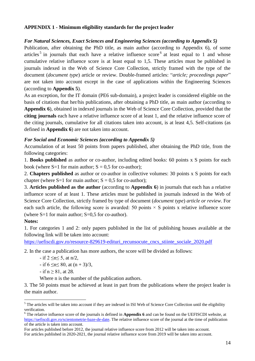## <span id="page-13-0"></span>**APPENDIX 1 - Minimum eligibility standards for the project leader**

#### *For Natural Sciences, Exact Sciences and Engineering Sciences (according to Appendix 5)*

Publication, after obtaining the PhD title, as main author (according to Appendix 6), of some articles<sup>5</sup> in journals that each have a relative influence score<sup>6</sup> at least equal to 1 and whose cumulative relative influence score is at least equal to 1,5. These articles must be published in journals indexed in the Web of Science Core Collection, strictly framed with the type of the document (*document type*) article or review. Double-framed articles: "*article; proceedings paper*" are not taken into account except in the case of applications within the Engineering Sciences (according to **Appendix 5**).

As an exception, for the IT domain (PE6 sub-domain), a project leader is considered eligible on the basis of citations that her/his publications, after obtaining a PhD title, as main author (according to **Appendix 6**), obtained in indexed journals in the Web of Science Core Collection, provided that the **citing journals** each have a relative influence score of at least 1, and the relative influence score of the citing journals, cumulative for all citations taken into account, is at least 4,5. Self-citations (as defined in **Appendix 6**) are not taken into account.

#### *For Social and Economic Sciences (according to Appendix 5)*

Accumulation of at least 50 points from papers published, after obtaining the PhD title, from the following categories:

1. **Books published** as author or co-author, including edited books: 60 points x S points for each book (where  $S=1$  for main author;  $S = 0.5$  for co-author);

2. **Chapters published** as author or co-author in collective volumes: 30 points x S points for each chapter (where  $S=1$  for main author;  $S = 0.5$  for co-author);

3. **Articles published as the author** (according to **Appendix 6**) in journals that each has a relative influence score of at least 1. These articles must be published in journals indexed in the Web of Science Core Collection, strictly framed by type of document (*document type*) *article or review*. For each such article, the following score is awarded: 50 points  $\times$  S points x relative influence score (where  $S=1$  for main author;  $S=0.5$  for co-author).

#### **Notes:**

1

1. For categories 1 and 2: only papers published in the list of publishing houses available at the following link will be taken into account:

https://uefiscdi.gov.ro/resource-829619-edituri recunsocute cncs stiinte sociale 2020.pdf

2. In the case a publication has more authors, the score will be divided as follows:

- $-$  if  $2 \le n \le 5$ , at  $n/2$ ,
- $-$  if 6  $\leq n \leq 80$ , at  $(n + 3)/3$ ,
- $-$  if  $n \ge 81$ , at 28.

Where n is the number of the publication authors.

3. The 50 points must be achieved at least in part from the publications where the project leader is the main author.

For articles published before 2012, the journal relative influence score from 2012 will be taken into account. For articles published in 2020-2021, the journal relative influence score from 2019 will be taken into account.

<sup>&</sup>lt;sup>5</sup> The articles will be taken into account if they are indexed in ISI Web of Science Core Collection until the eligibility verification.

<sup>6</sup> The relative influence score of the journals is defined in **Appendix 6** and can be found on the UEFISCDI website, at [https://uefiscdi.gov.ro/scientometrie-baze-de-date.](https://uefiscdi.gov.ro/scientometrie-baze-de-date) The relative influence score of the journal at the time of publication of the article is taken into account.

<sup>14</sup>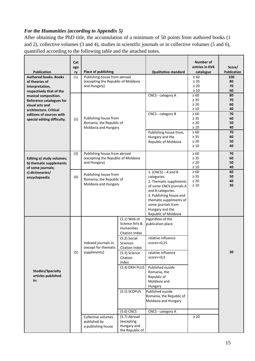## *For the Humanities (according to Appendix 5)*

After obtaining the PhD title, the accumulation of a minimum of 50 points from authored books (1 and 2), collective volumes (3 and 4), studies in scientific journals or in collective volumes (5 and 6), quantified according to the following table and the attached notes.

|                                              | Cat<br>ego |                                                     |                                     |                                              | Number of<br>entries in KVK | Score/             |
|----------------------------------------------|------------|-----------------------------------------------------|-------------------------------------|----------------------------------------------|-----------------------------|--------------------|
| <b>Publication</b>                           | ry         | <b>Place of publishing</b>                          |                                     |                                              | catalogue                   | <b>Publication</b> |
| <b>Authored books. Books</b>                 | (1)        | Publishing house from abroad                        |                                     |                                              | $\geq 60$                   | 100                |
| of theories of                               |            | (excepting the Republic of Moldavia<br>and Hungary) |                                     |                                              | $\geq$ 35<br>$\geq 20$      | 80<br>70           |
| interpretation,<br>respectively that of the  |            |                                                     |                                     |                                              | $\geq 10$                   | 60                 |
| musical composition.                         |            |                                                     |                                     | CNCS - category A                            | $\geq 60$                   | 80                 |
| Reference catalogues for                     |            |                                                     |                                     |                                              | $\geq 35$                   | 70                 |
| visual arts and                              |            |                                                     |                                     |                                              | $\geq 20$                   | 60                 |
| architecture. Critical                       |            |                                                     |                                     |                                              | $\geq 10$                   | 40                 |
| editions of sources with                     |            | Publishing house from                               |                                     | CNCS - category B                            | $\geq 60$<br>$\geq 35$      | 70<br>60           |
| special editing difficulty.                  | (2)        | Romania, the Republic of                            |                                     |                                              | $\geq 20$                   | 50                 |
|                                              |            | Moldavia and Hungary                                |                                     |                                              | $\geq 10$                   | 40                 |
|                                              |            |                                                     |                                     | Publishing house from,                       | $\geq 60$                   | 70                 |
|                                              |            |                                                     |                                     | Hungary and the                              | $\geq 35$                   | 60                 |
|                                              |            |                                                     |                                     | Republic of Moldavia                         | $\geq 20$<br>$\geq 10$      | 50<br>40           |
|                                              |            |                                                     |                                     |                                              |                             |                    |
|                                              | (3)        | Publishing house from abroad                        |                                     |                                              | $\geq 60$                   | 70                 |
| Editing a) study volumes;                    |            | (excepting the Republic of Moldavia<br>and Hungary) |                                     |                                              | $\geq 35$<br>$\geq 20$      | 60<br>50           |
| b) thematic supplements<br>of some journals; |            |                                                     |                                     |                                              | $\geq 10$                   | 40                 |
| c) dictionaries/                             |            |                                                     |                                     | 1. (CNCS) $-$ A and B                        | $\geq 60$                   | 60                 |
| encyclopaedia                                | (4)        | Publishing house from                               |                                     | categories                                   | $\geq 35$                   | 50                 |
|                                              |            | Romania, the Republic of<br>Moldavia and Hungary    |                                     | 2. Thematic suppliments                      | $\geq 20$                   | 40                 |
|                                              |            |                                                     |                                     | of some CNCS journals A                      | $\geq 10$                   | 30                 |
|                                              |            |                                                     |                                     | and B categories.<br>3. Publishing house and |                             |                    |
|                                              |            |                                                     |                                     | thematic suppliments of                      |                             |                    |
|                                              |            |                                                     |                                     | some journals from                           |                             |                    |
|                                              |            |                                                     |                                     | Hungary and the                              |                             |                    |
|                                              |            |                                                     |                                     | Republic of Moldavia                         |                             |                    |
|                                              |            |                                                     | $(5.1)$ Web of                      | regardless of the                            |                             |                    |
|                                              |            |                                                     | Science Arts &<br><b>Humanities</b> | publication place                            |                             |                    |
|                                              |            |                                                     | Citation Index                      |                                              |                             |                    |
|                                              |            |                                                     | $(5.2)$ Social                      | relative influence                           |                             |                    |
|                                              |            | Indexed journals in:                                | <b>Sciences</b>                     | $score>=0,25$                                |                             |                    |
|                                              |            | (except for thematic                                | Citation Index                      |                                              |                             |                    |
|                                              | (5)        | suppliments)                                        | (5.3) Science                       | relative influence                           |                             | 30                 |
|                                              |            |                                                     | Citation                            | $score>=0,5$                                 |                             |                    |
|                                              |            |                                                     | Index<br>(5.4) ERIH PLUS            | Published ouside                             |                             |                    |
| <b>Studies/Specialty</b>                     |            |                                                     |                                     | Romania, the                                 |                             |                    |
| articles published                           |            |                                                     |                                     | Republic of                                  |                             |                    |
| in:                                          |            |                                                     |                                     | Moldavia and                                 |                             |                    |
|                                              |            |                                                     |                                     | Hungary                                      |                             |                    |
|                                              |            |                                                     | (5.5) SCOPUS                        | Published ouside                             |                             |                    |
|                                              |            |                                                     |                                     | Romania, the Republic of                     |                             |                    |
|                                              |            |                                                     |                                     | Moldavia and Hungary                         |                             |                    |
|                                              |            |                                                     | $(5.6)$ CNCS                        | CNCS - category A                            |                             |                    |
|                                              |            | Collective volumes                                  | (5.7) Abroad                        |                                              | $\geq 20$                   |                    |
|                                              |            | published by                                        | (excepting                          |                                              |                             |                    |
|                                              |            | a publishing house                                  | Hungary and                         |                                              |                             |                    |
|                                              |            |                                                     | the Republic of                     |                                              |                             |                    |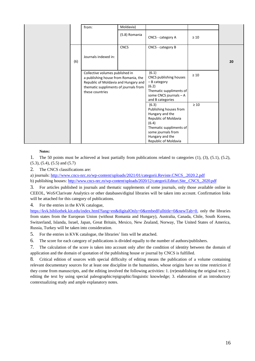|     | from:                                                                                                                                                                       | Moldavia)     |                                                                                                                                                                                 |           |    |
|-----|-----------------------------------------------------------------------------------------------------------------------------------------------------------------------------|---------------|---------------------------------------------------------------------------------------------------------------------------------------------------------------------------------|-----------|----|
|     |                                                                                                                                                                             | (5.8) Romania | CNCS - category A                                                                                                                                                               | $\geq 10$ |    |
| (6) | Journals indexed in:                                                                                                                                                        | <b>CNCS</b>   | CNCS - category B                                                                                                                                                               |           | 20 |
|     | Collective volumes published in<br>a publishing house from Romania, the<br>Republic of Moldavia and Hungary and<br>thematic suppliments of journals from<br>these countries |               | (6.1)<br>CNCS publishing houses<br>$-$ B category<br>(6.2)<br>Thematic suppliments of<br>some CNCS journals - A<br>and B categories                                             | $\geq 10$ |    |
|     |                                                                                                                                                                             |               | (6.3)<br>Publishing houses from<br>Hungary and the<br>Republic of Moldavia<br>(6.4)<br>Thematic suppliments of<br>some journals from<br>Hungary and the<br>Republic of Moldavia | $\geq 10$ |    |

#### **Notes:**

1. The 50 points must be achieved at least partially from publications related to categories (1), (3), (5.1), (5.2), (5.3), (5.4), (5.5) and (5.7)

2. The CNCS classifications are:

a) journals: [http://www.cncs-nrc.ro/wp-content/uploads/2021/01/categorii.Reviste.CNCS\\_.2020.2.pdf](http://www.cncs-nrc.ro/wp-content/uploads/2021/01/categorii.Reviste.CNCS_.2020.2.pdf)

b) publishing houses: [http://www.cncs-nrc.ro/wp-content/uploads/2020/12/categorii.Edituri.Site\\_.CNCS\\_.2020.pdf](http://www.cncs-nrc.ro/wp-content/uploads/2020/12/categorii.Edituri.Site_.CNCS_.2020.pdf)

3. For articles published in journals and thematic supplements of some journals, only those available online in CEEOL, WoS/Clarivate Analytics or other databases/digital libraries will be taken into account. Confirmation links will be attached for this category of publications.

4. For the entries in the KVK catalogue,

[https://kvk.bibliothek.kit.edu/index.html?lang=en&digitalOnly=0&embedFulltitle=0&newTab=0,](https://kvk.bibliothek.kit.edu/index.html?lang=en&digitalOnly=0&embedFulltitle=0&newTab=0) only the libraries from states from the European Union (without Romania and Hungary), Australia, Canada, Chile, South Koreea, Switzerland, Islanda, Israel, Japan, Great Britain, Mexico, New Zealand, Norway, The United States of America, Russia, Turkey will be taken into consideration.

5. For the entries in KVK catalogue, the libraries' lists will be attached.

6. The score for each category of publications is divided equally to the number of authors/publishers.

7. The calculation of the score is taken into account only after the condition of identity between the domain of application and the domain of quotation of the publishing house or journal by CNCS is fulfilled.

8. Critical edition of sources with special difficulty of editing means the publication of a volume containing relevant documentary sources for at least one discipline in the humanities, whose origins have no time restriction if they come from manuscripts, and the editing involved the following activities: 1. (re)establishing the original text; 2. editing the text by using special paleographic/epigraphic/linguistic knowledge; 3. elaboration of an introductory contextualizing study and ample explanatory notes.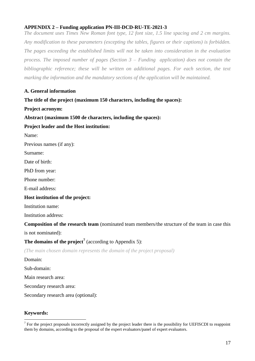## <span id="page-16-0"></span>**APPENDIX 2 – Funding application PN-III-DCD-RU-TE-2021-3**

*The document uses Times New Roman font type, 12 font size, 1.5 line spacing and 2 cm margins. Any modification to these parameters (excepting the tables, figures or their captions) is forbidden.*  The pages exceeding the established limits will not be taken into consideration in the evaluation *process. The imposed number of pages (Section 3 – Funding application) does not contain the bibliographic reference; these will be written on additional pages. For each section, the text marking the information and the mandatory sections of the application will be maintained.*

#### **A. General information**

#### **The title of the project (maximum 150 characters, including the spaces):**

**Project acronym:**

**Abstract (maximum 1500 de characters, including the spaces):** 

#### **Project leader and the Host institution:**

Name:

Previous names (if any):

Surname:

Date of birth:

PhD from year:

Phone number:

E-mail address:

#### **Host institution of the project:**

Institution name:

Institution address:

**Composition of the research team** (nominated team members/the structure of the team in case this

is not nominated):

## **The domains of the project<sup>7</sup>** (according to Appendix 5):

*(The main chosen domain represents the domain of the project proposal)*

Domain:

Sub-domain:

Main research area:

Secondary research area:

Secondary research area (optional):

#### **Keywords:**

<u>.</u>

 $<sup>7</sup>$  For the project proposals incorrectly assigned by the project leader there is the possibility for UEFISCDI to reappoint</sup> them by domains, according to the proposal of the expert evaluators/panel of expert evaluators.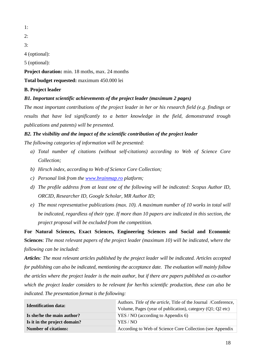1:

2:

3:

4 (optional):

5 (optional):

Project duration: min. 18 moths, max. 24 months

**Total budget requested:** maximum 450.000 lei

**B. Project leader**

*B1. Important scientific achievements of the project leader (maximum 2 pages)*

*The most important contributions of the project leader in her or his research field (e.g. findings or results that have led significantly to a better knowledge in the field, demonstrated trough publications and patents) will be presented.* 

## *B2. The visibility and the impact of the scientific contribution of the project leader*

*The following categories of information will be presented:*

- *a) Total number of citations (without self-citations) according to Web of Science Core Collection;*
- *b) Hirsch index, according to Web of Science Core Collection;*
- *c) Personal link from the [www.brainmap.ro](http://www.brainmap.ro/) platform;*
- *d) The profile address from at least one of the following will be indicated: Scopus Author ID, ORCID, Researcher ID, Google Scholar, MR Author ID;*
- *e) The most representative publications (max. 10). A maximum number of 10 works in total will be indicated, regardless of their type. If more than 10 papers are indicated in this section, the project proposal will be excluded from the competition.*

**For Natural Sciences, Exact Sciences, Engineering Sciences and Social and Economic Sciences**: *The most relevant papers of the project leader (maximum 10) will be indicated, where the following can be included:*

*Articles: The most relevant articles published by the project leader will be indicated. Articles accepted for publishing can also be indicated, mentioning the acceptance date. The evaluation will mainly follow the articles where the project leader is the main author, but if there are papers published as co-author which the project leader considers to be relevant for her/his scientific production, these can also be indicated. The presentation format is the following:*

| <b>Identification data:</b>  | Authors. Title of the article, Title of the Journal /Conference,<br>Volume, Pages (year of publication), category $(Q1; Q2$ etc) |
|------------------------------|----------------------------------------------------------------------------------------------------------------------------------|
| Is she/he the main author?   | $YES / NO$ (according to Appendix 6)                                                                                             |
| Is it in the project domain? | YES / NO                                                                                                                         |
| <b>Number of citations:</b>  | According to Web of Science Core Collection (see Appendix                                                                        |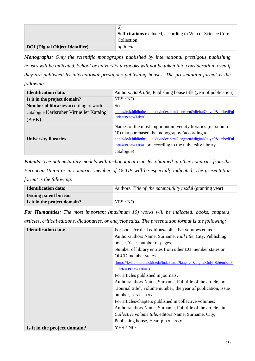|                                        | 6)<br><b>Self-citations</b> excluded, according to Web of Science Core |
|----------------------------------------|------------------------------------------------------------------------|
|                                        | Collection.                                                            |
| <b>DOI</b> (Digital Object Identifier) | optional                                                               |

*Monographs: Only the scientific monographs published by international prestigous publishing houses will be indicated. School or university textbooks will not be taken into consideration, even if they are published by international prestigous publishing houses. The presentation format is the following:*

| <b>Identification data:</b>                   | Authors. <i>Book title</i> , Publishing house title (year of publication) |
|-----------------------------------------------|---------------------------------------------------------------------------|
| Is it in the project domain?                  | YES / NO                                                                  |
| <b>Number of libraries</b> according to world | <b>See</b>                                                                |
| catalogue Karlsruher Virtueller Katalog       | https://kvk.bibliothek.kit.edu/index.html?lang=en&digitalOnly=0&embedFul  |
| $(KVK)$ .                                     | ltitle= $0$ &newTab= $0$                                                  |
|                                               | Names of the most important university libraries (maximum                 |
|                                               | 10) that purchased the monography (according to                           |
| <b>University libraries</b>                   | https://kvk.bibliothek.kit.edu/index.html?lang=en&digitalOnly=0&embedFul  |
|                                               | $little=0$ &newTab=0 or according to the university library               |
|                                               | catalogue)                                                                |

*Patents: The patents/utility models with techonogical transfer obtained in other countries from the European Union or in countries member of OCDE will be especially indicated. The presentation format is the following:*

| <b>Identification data:</b>  | Authors. Title of the patent/utility model (granting year) |
|------------------------------|------------------------------------------------------------|
| <b>Issuing patent bureau</b> |                                                            |
| Is it in the project domain? | YES / NO                                                   |

*For Humanities: The most important (maximum 10) works will be indicated: books, chapters, articles, critical editions, dictionaries, or encyclopedias. The presentation format is the following:*

| <b>Identification data:</b>  | For books/critical editions/collective volumes edited:                  |
|------------------------------|-------------------------------------------------------------------------|
|                              | Author/authors Name, Surname, <i>Full title</i> , City, Publishing      |
|                              | house, Year, number of pages.                                           |
|                              | Number of library entries from other EU member states or                |
|                              | <b>OECD</b> member states                                               |
|                              | (https://kvk.bibliothek.kit.edu/index.html?lang=en&digitalOnly=0&embedF |
|                              | ulltitle= $0$ &newTab= $0$ )                                            |
|                              | For articles published in journals:                                     |
|                              | Author/authors Name, Surname, Full title of the article, in:            |
|                              | "Journal title", volume number, the year of publication, issue          |
|                              | number, $p. xx - xxx$ .                                                 |
|                              | For articles/chapters published in collective volumes:                  |
|                              | Author/authors Name, Surname, Full title of the article, in:            |
|                              | Collective volume title, editors Name, Surname, City,                   |
|                              | Publishing house, Year, p. $xx - xxx$ .                                 |
| Is it in the project domain? | YES / NO                                                                |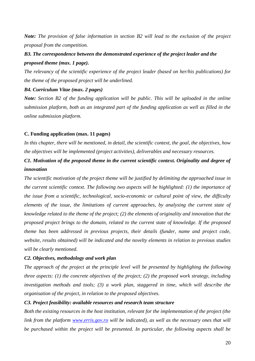*Note: The provision of false information in section B2 will lead to the exclusion of the project proposal from the competition.*

## *B3. The correspondence between the demonstrated experience of the project leader and the proposed theme (max. 1 page).*

*The relevancy of the scientific experience of the project leader (based on her/his publications) for the theme of the proposed project will be underlined.*

#### *B4. Curriculum Vitae (max. 2 pages)*

*Note: Section B2 of the funding application will be public. This will be uploaded in the online submission platform, both as an integrated part of the funding application as well as filled in the online submission platform.* 

#### **C. Funding application (max. 11 pages)**

*In this chapter, there will be mentioned, in detail, the scientific context, the goal, the objectives, how the objectives will be implemented (project activities), deliverables and necessary resources.*

## *C1. Motivation of the proposed theme in the current scientific context. Originality and degree of innovation*

*The scientific motivation of the project theme will be justified by delimiting the approached issue in the current scientific context. The following two aspects will be highlighted: (1) the importance of the issue from a scientific, technological, socio-economic or cultural point of view, the difficulty elements of the issue, the limitations of current approaches, by analysing the current state of knowledge related to the theme of the project; (2) the elements of originality and innovation that the proposed project brings to the domain, related to the current state of knowledge. If the proposed theme has been addressed in previous projects, their details (funder, name and project code, website, results obtained) will be indicated and the novelty elements in relation to previous studies will be clearly mentioned.*

#### *C2. Objectives, methodology and work plan*

*The approach of the project at the principle level will be presented by highlighing the following three aspects: (1) the concrete objectives of the project; (2) the proposed work strategy, including investigation methods and tools; (3) a work plan, staggered in time, which will describe the organisation of the project, in relation to the proposed objectives.*

#### *C3. Project feasibility: available resources and research team structure*

*Both the existing resources in the host institution, relevant for the implementation of the project (the link from the platform [www.erris.gov.ro](http://www.erris.gov.ro/) will be indicated), as well as the necessary ones that will be purchased within the project will be presented. In particular, the following aspects shall be*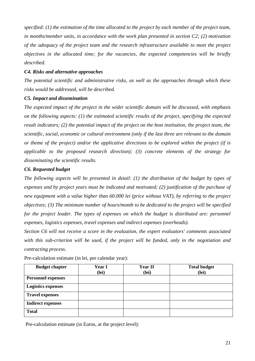*specified: (1) the estimation of the time allocated to the project by each member of the project team, in months/member units, in accordance with the work plan presented in section C2; (2) motivation of the adequacy of the project team and the research infrastructure available to meet the project objectives in the allocated time; for the vacancies, the expected competencies will be briefly described.*

#### *C4. Risks and alternative approaches*

*The potential scientific and administrative risks, as well as the approaches through which these risks would be addressed, will be described.*

#### *C5. Impact and dissemination*

*The expected impact of the project in the wider scientific domain will be discussed, with emphasis on the following aspects: (1) the estimated scientific results of the project, specifying the expected result indicators; (2) the potential impact of the project on the host institution, the project team, the scientific, social, economic or cultural environment (only if the last three are relevant to the domain or theme of the project) and/or the applicative directions to be explored within the project (if is applicable to the proposed research direction); (3) concrete elements of the strategy for disseminating the scientific results.*

#### *C6. Requested budget*

*The following aspects will be presented in detail: (1) the distribution of the budget by types of expenses and by project years must be indicated and motivated; (2) justification of the purchase of new equipment with a value higher than 60.000 lei (price without VAT), by referring to the project objectives; (3) The minimum number of hours/month to be dedicated to the project will be specified for the project leader. The types of expenses on which the budget is distributed are: personnel expenses, logistics expenses, travel expenses and indirect expenses (overheads).*

*Section C6 will not receive a score in the evaluation, the expert evaluators' comments associated with this sub-criterion will be used, if the project will be funded, only in the negotiation and contracting process.*

| <b>Budget chapter</b>     | <b>Year I</b><br>(lei) | <b>Year II</b><br>(lei) | <b>Total budget</b><br>(lei) |
|---------------------------|------------------------|-------------------------|------------------------------|
| <b>Personnel expenses</b> |                        |                         |                              |
| <b>Logistics expenses</b> |                        |                         |                              |
| <b>Travel expenses</b>    |                        |                         |                              |
| <b>Indirect expenses</b>  |                        |                         |                              |
| <b>Total</b>              |                        |                         |                              |

Pre-calculation estimate (in lei, per calendar year):

Pre-calculation estimate (in Euros, at the project level):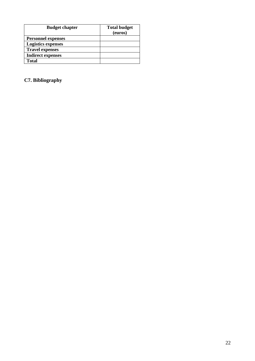| <b>Budget chapter</b>     | <b>Total budget</b> |
|---------------------------|---------------------|
|                           | (euros)             |
| <b>Personnel expenses</b> |                     |
| <b>Logistics expenses</b> |                     |
| <b>Travel expenses</b>    |                     |
| <b>Indirect expenses</b>  |                     |
| <b>Total</b>              |                     |

## **C7. Bibliography**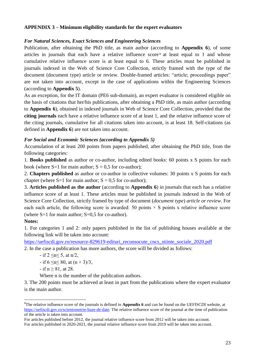## <span id="page-22-0"></span>**APPENDIX 3 – Minimum eligibility standards for the expert evaluators**

#### *For Natural Sciences, Exact Sciences and Engineering Sciences*

Publication, after obtaining the PhD title, as main author (according to **Appendix 6**), of some articles in journals that each have a relative influence score <sup>8</sup> at least equal to 1 and whose cumulative relative influence score is at least equal to 6. These articles must be published in journals indexed in the Web of Science Core Collection, strictly framed with the type of the document (document type) article or review. Double-framed articles: "article; proceedings paper" are not taken into account, except in the case of applications within the Engineering Sciences (according to **Appendix 5**).

As an exception, for the IT domain (PE6 sub-domain), an expert evaluator is considered eligible on the basis of citations that her/his publications, after obtaining a PhD title, as main author (according to **Appendix 6**), obtained in indexed journals in Web of Science Core Collection, provided that the **citing journals** each have a relative influence score of at least 1, and the relative influence score of the citing journals, cumulative for all citations taken into account, is at least 18. Self-citations (as defined in **Appendix 6**) are not taken into account.

#### *For Social and Economic Sciences (according to Appendix 5)*

Accumulation of at least 200 points from papers published, after obtaining the PhD title, from the following categories:

1. **Books published** as author or co-author, including edited books: 60 points x S points for each book (where  $S=1$  for main author;  $S = 0.5$  for co-author);

2. **Chapters published** as author or co-author in collective volumes: 30 points x S points for each chapter (where  $S=1$  for main author;  $S = 0.5$  for co-author);

3. **Articles published as the author** (according to **Appendix 6**) in journals that each has a relative influence score of at least 1. These articles must be published in journals indexed in the Web of Science Core Collection, strictly framed by type of document (*document type*) *article or review*. For each such article, the following score is awarded: 50 points  $\times$  S points x relative influence score (where  $S=1$  for main author;  $S=0.5$  for co-author).

#### **Notes:**

1

1. For categories 1 and 2: only papers published in the list of publishing houses available at the following link will be taken into account:

https://uefiscdi.gov.ro/resource-829619-edituri recunsocute cncs stiinte sociale 2020.pdf

2. In the case a publication has more authors, the score will be divided as follows:

- if  $2 \le n \le 5$ , at  $n/2$ ,

- if 
$$
6 \le n \le 80
$$
, at  $(n + 3)/3$ ,

 $-$  if  $n \ge 81$ , at 28.

Where n is the number of the publication authors.

3. The 200 points must be achieved at least in part from the publications where the expert evaluator is the main author.

<sup>&</sup>lt;sup>8</sup>The relative influence score of the journals is defined in **Appendix 6** and can be found on the UEFISCDI website, at [https://uefiscdi.gov.ro/scientometrie-baze-de-date.](https://uefiscdi.gov.ro/scientometrie-baze-de-date) The relative influence score of the journal at the time of publication of the article is taken into account.

For articles published before 2012, the journal relative influence score from 2012 will be taken into account.

For articles published in 2020-2021, the journal relative influence score from 2019 will be taken into account.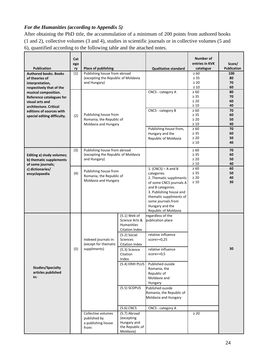## *For the Humanities (according to Appendix 5)*

After obtaining the PhD title, the accummulation of a minimum of 200 points from authored books (1 and 2), collective volumes (3 and 4), studies in scientific journals or in collective volumes (5 and 6), quantified according to the following table and the attached notes.

| <b>Publication</b><br><b>Authored books. Books</b><br>of theories of<br>interpretation,                                                                                              | Cat<br>ego<br>ry<br>(1)                                  | <b>Place of publishing</b><br>Publishing house from abroad<br>(excepting the Republic of Moldavia<br>and Hungary)                 |                                                                                                                                                                                                                                                                                                      | <b>Qualitative standard</b>                                                                                                                                                                                                                                                                    | Number of<br>entries in KVK<br>catalogue<br>$\geq 60$<br>$\geq 35$<br>$\geq 20$<br>$\geq 10$ | Score/<br><b>Publication</b><br>100<br>80<br>70<br>60 |
|--------------------------------------------------------------------------------------------------------------------------------------------------------------------------------------|----------------------------------------------------------|-----------------------------------------------------------------------------------------------------------------------------------|------------------------------------------------------------------------------------------------------------------------------------------------------------------------------------------------------------------------------------------------------------------------------------------------------|------------------------------------------------------------------------------------------------------------------------------------------------------------------------------------------------------------------------------------------------------------------------------------------------|----------------------------------------------------------------------------------------------|-------------------------------------------------------|
| respectively that of the<br>musical composition.<br>Reference catalogues for<br>visual arts and<br>architecture. Critical<br>editions of sources with<br>special editing difficulty. | Publishing house from<br>(2)<br>Romania, the Republic of |                                                                                                                                   |                                                                                                                                                                                                                                                                                                      | CNCS - category A<br>CNCS - category B                                                                                                                                                                                                                                                         | $\geq 60$<br>$\geq 35$<br>$\geq 20$<br>$\geq 10$<br>$\geq 60$<br>$\geq 35$<br>$\geq 20$      | 80<br>70<br>60<br>40<br>70<br>60<br>50                |
|                                                                                                                                                                                      |                                                          | Moldavia and Hungary                                                                                                              |                                                                                                                                                                                                                                                                                                      | Publishing house from,<br>Hungary and the<br>Republic of Moldavia                                                                                                                                                                                                                              | $\geq 10$<br>$\geq 60$<br>$\geq 35$<br>$\geq 20$<br>$\geq 10$                                | 40<br>70<br>60<br>50<br>40                            |
| Editing a) study volumes;<br>b) thematic supplements<br>of some journals;                                                                                                            | (3)                                                      | Publishing house from abroad<br>(excepting the Republic of Moldavia<br>and Hungary)                                               |                                                                                                                                                                                                                                                                                                      |                                                                                                                                                                                                                                                                                                | $\geq 60$<br>$\geq 35$<br>$\geq 20$<br>$\geq 10$                                             | 70<br>60<br>50<br>40                                  |
| c) dictionaries/<br>encyclopaedia                                                                                                                                                    | (4)                                                      | Publishing house from<br>Romania, the Republic of<br>Moldavia and Hungary                                                         |                                                                                                                                                                                                                                                                                                      | 1. (CNCS) $-$ A and B<br>categories<br>2. Thematic suppliments<br>of some CNCS journals A<br>and B categories.<br>3. Publishing house and<br>thematic suppliments of<br>some journals from<br>Hungary and the<br>Republic of Moldavia                                                          | $\geq 60$<br>$\geq 35$<br>$\geq 20$<br>$\geq 10$                                             | 60<br>50<br>40<br>30                                  |
| <b>Studies/Specialty</b><br>articles published<br>in:                                                                                                                                | (5)                                                      | Indexed journals in:<br>(except for thematic<br>suppliments)<br>Collective volumes<br>published by<br>a publishing house<br>from: | $(5.1)$ Web of<br>Science Arts &<br>Humanities<br><b>Citation Index</b><br>$(5.2)$ Social<br><b>Sciences</b><br>Citation Index<br>(5.3) Science<br>Citation<br>Index<br>(5.4) ERIH PLUS<br>(5.5) SCOPUS<br>$(5.6)$ CNCS<br>(5.7) Abroad<br>(excepting<br>Hungary and<br>the Republic of<br>Moldavia) | regardless of the<br>publication place<br>relative influence<br>$score>=0,25$<br>relative influence<br>$score>=0,5$<br>Published ouside<br>Romania, the<br>Republic of<br>Moldavia and<br>Hungary<br>Published ouside<br>Romania, the Republic of<br>Moldavia and Hungary<br>CNCS - category A | $\geq 20$                                                                                    | 30                                                    |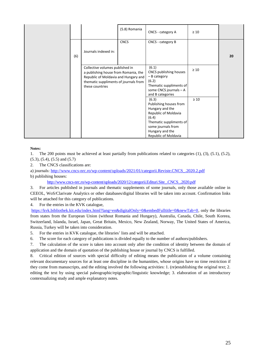|     |                                                                                                                                                                             | (5.8) Romania | CNCS - category A                                                                                                                                                               | $\geq 10$ |    |
|-----|-----------------------------------------------------------------------------------------------------------------------------------------------------------------------------|---------------|---------------------------------------------------------------------------------------------------------------------------------------------------------------------------------|-----------|----|
| (6) | Journals indexed in:                                                                                                                                                        | <b>CNCS</b>   | CNCS - category B                                                                                                                                                               |           | 20 |
|     | Collective volumes published in<br>a publishing house from Romania, the<br>Republic of Moldavia and Hungary and<br>thematic suppliments of journals from<br>these countries |               | (6.1)<br>CNCS publishing houses<br>- B category<br>(6.2)<br>Thematic suppliments of<br>some CNCS journals - A<br>and B categories                                               | $\geq 10$ |    |
|     |                                                                                                                                                                             |               | (6.3)<br>Publishing houses from<br>Hungary and the<br>Republic of Moldavia<br>(6.4)<br>Thematic suppliments of<br>some journals from<br>Hungary and the<br>Republic of Moldavia | $\geq 10$ |    |

#### **Notes:**

1. The 200 points must be achieved at least partially from publications related to categories (1), (3), (5.1), (5.2), (5.3), (5.4), (5.5) and (5.7)

2. The CNCS classifications are:

a) journals: [http://www.cncs-nrc.ro/wp-content/uploads/2021/01/categorii.Reviste.CNCS\\_.2020.2.pdf](http://www.cncs-nrc.ro/wp-content/uploads/2021/01/categorii.Reviste.CNCS_.2020.2.pdf)

b) publishing houses:

[http://www.cncs-nrc.ro/wp-content/uploads/2020/12/categorii.Edituri.Site\\_.CNCS\\_.2020.pdf](http://www.cncs-nrc.ro/wp-content/uploads/2020/12/categorii.Edituri.Site_.CNCS_.2020.pdf)

3. For articles published in journals and thematic supplements of some journals, only those available online in CEEOL, WoS/Clarivate Analytics or other databases/digital libraries will be taken into account. Confirmation links will be attached for this category of publications.

4. For the entries in the KVK catalogue,

[https://kvk.bibliothek.kit.edu/index.html?lang=en&digitalOnly=0&embedFulltitle=0&newTab=0,](https://kvk.bibliothek.kit.edu/index.html?lang=en&digitalOnly=0&embedFulltitle=0&newTab=0) only the libraries from states from the European Union (without Romania and Hungary), Australia, Canada, Chile, South Koreea, Switzerland, Islanda, Israel, Japan, Great Britain, Mexico, New Zealand, Norway, The United States of America, Russia, Turkey will be taken into consideration.

5. For the entries in KVK catalogue, the libraries' lists and will be attached.

6. The score for each category of publications is divided equally to the number of authors/publishers.

7. The calculation of the score is taken into account only after the condition of identity between the domain of application and the domain of quotation of the publishing house or journal by CNCS is fulfilled.

8. Critical edition of sources with special difficulty of editing means the publication of a volume containing relevant documentary sources for at least one discipline in the humanities, whose origins have no time restriction if they come from manuscripts, and the editing involved the following activities: 1. (re)establishing the original text; 2. editing the text by using special paleographic/epigraphic/linguistic knowledge; 3. elaboration of an introductory contextualizing study and ample explanatory notes.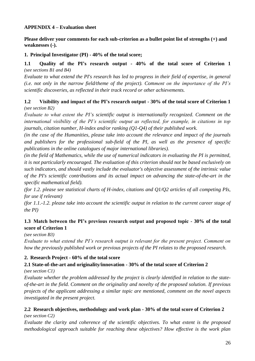## <span id="page-25-0"></span>**APPENDIX 4 – Evaluation sheet**

**Please deliver your comments for each sub-criterion as a bullet point list of strengths (+) and weaknesses (-).**

## **1. Principal Investigator (PI) - 40% of the total score;**

## **1.1 Quality of the PI's research output - 40% of the total score of Criterion 1** *(see sections B1 and B4)*

*Evaluate to what extend the PI's research has led to progress in their field of expertise, in general (i.e. not only in the narrow field/theme of the project). Comment on the importance of the PI's scientific discoveries, as reflected in their track record or other achievements.*

## **1.2 Visibility and impact of the PI's research output - 30% of the total score of Criterion 1** *(see section B2)*

*Evaluate to what extent the PI's scientific output is internationally recognized. Comment on the international visibility of the PI's scientific output as reflected, for example, in citations in top journals, citation number, H-index and/or ranking (Q1-Q4) of their published work.*

*(in the case of the Humanities, please take into account the relevance and impact of the journals and publishers for the professional sub-field of the PI, as well as the presence of specific publications in the online catalogues of major international libraries).*

*(in the field of Mathematics, while the use of numerical indicators in evaluating the PI is permitted, it is not particularly encouraged. The evaluation of this criterion should not be based exclusively on such indicators, and should vastly include the evaluator's objective assessment of the intrinsic value of the PI's scientific contributions and its actual impact on advancing the state-of-the-art in the specific mathematical field).*

*(for 1.2. please see statistical charts of H-index, citations and Q1/Q2 articles of all competing PIs, for use if relevant)*

*(for 1.1.-1.2. please take into account the scientific output in relation to the current career stage of the PI)*

## **1.3 Match between the PI's previous research output and proposed topic - 30% of the total score of Criterion 1**

*(see section B3)*

*Evaluate to what extend the PI's research output is relevant for the present project. Comment on how the previously published work or previous projects of the PI relates to the proposed research.*

## **2. Research Project - 60% of the total score**

## **2.1 State-of-the-art and originality/innovation - 30% of the total score of Criterion 2**

*(see section C1)*

*Evaluate whether the problem addressed by the project is clearly identified in relation to the stateof-the-art in the field. Comment on the originality and novelty of the proposed solution. If previous projects of the applicant addressing a similar topic are mentioned, comment on the novel aspects investigated in the present project.*

## **2.2 Research objectives, methodology and work plan - 30% of the total score of Criterion 2** *(see section C2)*

*Evaluate the clarity and coherence of the scientific objectives. To what extent is the proposed methodological approach suitable for reaching these objectives? How effective is the work plan*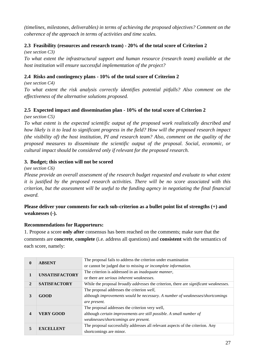*(timelines, milestones, deliverables) in terms of achieving the proposed objectives? Comment on the coherence of the approach in terms of activities and time scales.*

## **2.3 Feasibility (resources and research team) - 20% of the total score of Criterion 2**

*(see section C3)*

*To what extent the infrastructural support and human resource (research team) available at the host institution will ensure successful implementation of the project?*

## **2.4 Risks and contingency plans - 10% of the total score of Criterion 2**

*(see section C4)*

*To what extent the risk analysis correctly identifies potential pitfalls? Also comment on the effectiveness of the alternative solutions proposed.*

## **2.5 Expected impact and dissemination plan - 10% of the total score of Criterion 2**

*(see section C5)*

*To what extent is the expected scientific output of the proposed work realistically described and how likely is it to lead to significant progress in the field? How will the proposed research impact (the visibility of) the host institution, PI and research team? Also, comment on the quality of the proposed measures to disseminate the scientific output of the proposal. Social, economic, or cultural impact should be considered only if relevant for the proposed research.*

## **3. Budget; this section will not be scored**

*(see section C6)*

*Please provide an overall assessment of the research budget requested and evaluate to what extent it is justified by the proposed research activities. There will be no score associated with this criterion, but the assessment will be useful to the funding agency in negotiating the final financial award.*

## **Please deliver your comments for each sub-criterion as a bullet point list of strengths (+) and weaknesses (-).**

## **Recommendations for Rapporteurs:**

1. Propose a score **only after** consensus has been reached on the comments; make sure that the comments are **concrete**, **complete** (i.e. address all questions) and **consistent** with the semantics of each score, namely:

| $\bf{0}$       | <b>ABSENT</b>         | The proposal fails to address the criterion under examination                                        |
|----------------|-----------------------|------------------------------------------------------------------------------------------------------|
|                |                       | or cannot be judged due to missing or incomplete information.                                        |
|                | <b>UNSATISFACTORY</b> | The criterion is addressed in an <i>inadequate manner</i> ,                                          |
|                |                       | or there are <i>serious inherent weaknesses</i> .                                                    |
| $\overline{2}$ | <b>SATISFACTORY</b>   | While the proposal <i>broadly addresses</i> the criterion, there are <i>significant weaknesses</i> . |
|                |                       | The proposal addresses the criterion well,                                                           |
| 3              | GOOD                  | although improvements would be necessary. A number of weaknesses/shortcomings                        |
|                |                       | are present.                                                                                         |
|                | <b>VERY GOOD</b>      | The proposal addresses the criterion very well,                                                      |
| 4              |                       | although certain improvements are still possible. A small number of                                  |
|                |                       | weaknesses/shortcomings are present.                                                                 |
|                |                       | The proposal successfully addresses all relevant aspects of the criterion. Any                       |
| 5              | <b>EXCELLENT</b>      | shortcomings are minor.                                                                              |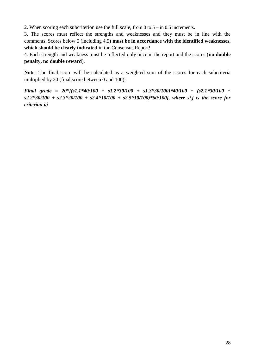2. When scoring each subcriterion use the full scale, from 0 to 5 – in 0.5 increments.

3. The scores must reflect the strengths and weaknesses and they must be in line with the comments. Scores below 5 (including 4.5**) must be in accordance with the identified weaknesses, which should be clearly indicated** in the Consensus Report!

4. Each strength and weakness must be reflected only once in the report and the scores (**no double penalty, no double reward**).

**Note**: The final score will be calculated as a weighted sum of the scores for each subcriteria multiplied by 20 (final score between 0 and 100);

*Final grade = 20\*[(s1.1\*40/100 + s1.2\*30/100 + s1.3\*30/100)\*40/100 + (s2.1\*30/100 + s2.2\*30/100 + s2.3\*20/100 + s2.4\*10/100 + s2.5\*10/100)\*60/100], where si.j is the score for criterion i.j*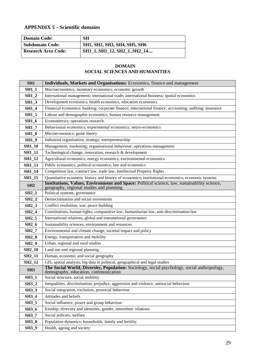## <span id="page-28-0"></span>**APPENDIX 5 – Scientific domains**

| <b>Domain Code:</b>        | <b>SH</b>                           |
|----------------------------|-------------------------------------|
| <b>Subdomain Code:</b>     | <b>SH1, SH2, SH3, SH4, SH5, SH6</b> |
| <b>Research Area Code:</b> | SH1_1SH1_12, SH2_1SH2_14            |

#### **DOMAIN SOCIAL SCIENCES AND HUMANITIES**

| SH <sub>1</sub>     | Individuals, Markets and Organisations: Economics, finance and management                                                                |
|---------------------|------------------------------------------------------------------------------------------------------------------------------------------|
| <b>SH1_1</b>        | Macroeconomics; monetary economics; economic growth                                                                                      |
| $SH1_2$             | International management; international trade; international business; spatial economics                                                 |
| $SH1_3$             | Development economics, health economics, education economics                                                                             |
| <b>SH1_4</b>        | Financial economics; banking; corporate finance; international finance; accounting; auditing; insurance                                  |
| <b>SH1_5</b>        | Labour and demographic economics; human resource management                                                                              |
| <b>SH1_6</b>        | Econometrics; operations research                                                                                                        |
| <b>SH1_7</b>        | Behavioural economics; experimental economics; neuro-economics                                                                           |
| <b>SH1_8</b>        | Microeconomics; game theory                                                                                                              |
| $SH1_9$             | Industrial organisation; strategy; entrepreneurship                                                                                      |
| <b>SH1_10</b>       | Management; marketing; organisational behaviour; operations management                                                                   |
| <b>SH1_11</b>       | Technological change, innovation, research & development                                                                                 |
| <b>SH1_12</b>       | Agricultural economics; energy economics; environmental economics                                                                        |
| <b>SH1_13</b>       | Public economics; political economics; law and economics                                                                                 |
| <b>SH1_14</b>       | Competition law, contract law, trade law, Intellectual Property Rights                                                                   |
| <b>SH1_15</b>       | Quantitative economic history and history of economics; institutional economics; economic systems                                        |
| SH2                 | Institutions, Values, Environment and Space: Political science, law, sustainability science,<br>geography, regional studies and planning |
| $SH2_1$             | Political systems, governance                                                                                                            |
| $SH2_2$             | Democratisation and social movements                                                                                                     |
| $SH2_3$             | Conflict resolution, war, peace building                                                                                                 |
| $SH2_4$             | Constitutions, human rights, comparative law, humanitarian law, anti-discrimination law                                                  |
| <b>SH2_5</b>        | International relations, global and transnational governance                                                                             |
| <b>SH2_6</b>        | Sustainability sciences, environment and resources                                                                                       |
| $SH2_7$             | Environmental and climate change, societal impact and policy                                                                             |
| <b>SH2_8</b>        | Energy, transportation and mobility                                                                                                      |
| $SH2_9$             | Urban, regional and rural studies                                                                                                        |
| <b>SH2_10</b>       | Land use and regional planning                                                                                                           |
| <b>SH2_11</b>       | Human, economic and social geography                                                                                                     |
| SH <sub>2</sub> _12 | GIS, spatial analysis; big data in political, geographical and legal studies                                                             |
| SH <sub>3</sub>     | The Social World, Diversity, Population: Sociology, social psychology, social anthropology,<br>demography, education, communication      |
| <b>SH3_1</b>        | Social structure, social mobility                                                                                                        |
| <b>SH3_2</b>        | Inequalities, discrimination, prejudice, aggression and violence, antisocial behaviour                                                   |
| <b>SH3_3</b>        | Social integration, exclusion, prosocial behaviour                                                                                       |
| <b>SH3_4</b>        | Attitudes and beliefs                                                                                                                    |
| <b>SH3_5</b>        | Social influence; power and group behaviour                                                                                              |
| <b>SH3_6</b>        | Kinship; diversity and identities, gender, interethnic relations                                                                         |
| <b>SH3_7</b>        | Social policies, welfare                                                                                                                 |
| <b>SH3_8</b>        | Population dynamics; households, family and fertility                                                                                    |
| <b>SH3_9</b>        | Health, ageing and society                                                                                                               |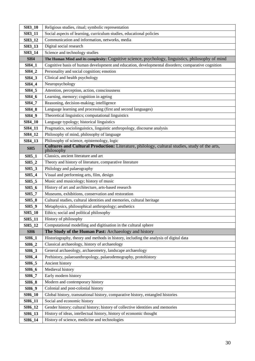| <b>SH3_10</b>                | Religious studies, ritual; symbolic representation                                                                    |
|------------------------------|-----------------------------------------------------------------------------------------------------------------------|
| <b>SH3_11</b>                | Social aspects of learning, curriculum studies, educational policies                                                  |
| <b>SH3_12</b>                | Communication and information, networks, media                                                                        |
| <b>SH3_13</b>                | Digital social research                                                                                               |
| SH3_14                       | Science and technology studies                                                                                        |
| SH4                          | The Human Mind and its complexity: Cognitive science, psychology, linguistics, philosophy of mind                     |
| <b>SH4_1</b>                 | Cognitive basis of human development and education, developmental disorders; comparative cognition                    |
| <b>SH4_2</b>                 | Personality and social cognition; emotion                                                                             |
| <b>SH4_3</b>                 | Clinical and health psychology                                                                                        |
| <b>SH4_4</b>                 | Neuropsychology                                                                                                       |
| <b>SH4_5</b>                 | Attention, perception, action, consciousness                                                                          |
| <b>SH4_6</b>                 | Learning, memory; cognition in ageing                                                                                 |
| <b>SH4_7</b>                 | Reasoning, decision-making; intelligence                                                                              |
| <b>SH4_8</b>                 | Language learning and processing (first and second languages)                                                         |
| <b>SH4_9</b>                 | Theoretical linguistics; computational linguistics                                                                    |
| <b>SH4_10</b>                | Language typology; historical linguistics                                                                             |
| <b>SH4_11</b>                | Pragmatics, sociolinguistics, linguistic anthropology, discourse analysis                                             |
| SH4_12                       | Philosophy of mind, philosophy of language                                                                            |
| SH4_13                       | Philosophy of science, epistemology, logic                                                                            |
| SH <sub>5</sub>              | Cultures and Cultural Production: Literature, philology, cultural studies, study of the arts,<br>philosophy           |
| $SH5_1$                      | Classics, ancient literature and art                                                                                  |
| $SH5_2$                      | Theory and history of literature, comparative literature                                                              |
| <b>SH5_3</b>                 | Philology and palaeography                                                                                            |
| <b>SH5_4</b>                 | Visual and performing arts, film, design                                                                              |
| <b>SH5_5</b>                 | Music and musicology; history of music                                                                                |
| <b>SH5_6</b>                 | History of art and architecture, arts-based research                                                                  |
| <b>SH5_7</b>                 | Museums, exhibitions, conservation and restoration                                                                    |
| <b>SH5_8</b>                 | Cultural studies, cultural identities and memories, cultural heritage                                                 |
| <b>SH5_9</b>                 | Metaphysics, philosophical anthropology; aesthetics                                                                   |
| <b>SH5_10</b>                | Ethics; social and political philosophy                                                                               |
| <b>SH5_11</b>                | History of philosophy                                                                                                 |
| SH5_12                       | Computational modelling and digitisation in the cultural sphere                                                       |
| SH6                          | The Study of the Human Past: Archaeology and history                                                                  |
| <b>SH6_1</b>                 | Historiography, theory and methods in history, including the analysis of digital data                                 |
| <b>SH6_2</b>                 | Classical archaeology, history of archaeology                                                                         |
| <b>SH6_3</b>                 | General archaeology, archaeometry, landscape archaeology                                                              |
| <b>SH6_4</b>                 | Prehistory, palaeoanthropology, palaeodemography, protohistory                                                        |
| <b>SH6_5</b>                 | Ancient history<br>Medieval history                                                                                   |
| <b>SH6_6</b>                 |                                                                                                                       |
| <b>SH6_7</b>                 | Early modern history                                                                                                  |
| <b>SH6_8</b><br><b>SH6_9</b> | Modern and contemporary history                                                                                       |
|                              | Colonial and post-colonial history<br>Global history, transnational history, comparative history, entangled histories |
| <b>SH6_10</b>                | Social and economic history                                                                                           |
| <b>SH6_11</b><br>SH6_12      | Gender history; cultural history; history of collective identities and memories                                       |
|                              | History of ideas, intellectual history, history of economic thought                                                   |
| <b>SH6_13</b>                |                                                                                                                       |
| SH6_14                       | History of science, medicine and technologies                                                                         |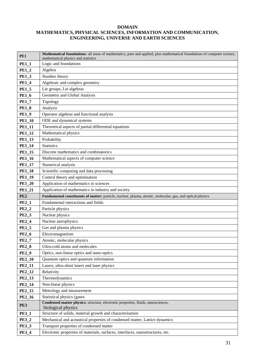#### **DOMAIN MATHEMATICS, PHYSICAL SCIENCES, INFORMATION AND COMMUNICATION, ENGINEERING, UNIVERSE AND EARTH SCIENCES**

| PE1             | Mathematical foundations: all areas of mathematics, pure and applied, plus mathematical foundations of computer science, |
|-----------------|--------------------------------------------------------------------------------------------------------------------------|
| <b>PE1_1</b>    | mathematical physics and statistics<br>Logic and foundations                                                             |
| <b>PE1_2</b>    | Algebra                                                                                                                  |
| <b>PE1_3</b>    | Number theory                                                                                                            |
|                 |                                                                                                                          |
| <b>PE1_4</b>    | Algebraic and complex geometry                                                                                           |
| <b>PE1_5</b>    | Lie groups, Lie algebras                                                                                                 |
| <b>PE1_6</b>    | Geometry and Global Analysis                                                                                             |
| <b>PE1_7</b>    | Topology                                                                                                                 |
| <b>PE1_8</b>    | Analysis                                                                                                                 |
| <b>PE1_9</b>    | Operator algebras and functional analysis                                                                                |
| <b>PE1_10</b>   | ODE and dynamical systems                                                                                                |
| <b>PE1_11</b>   | Theoretical aspects of partial differential equations                                                                    |
| <b>PE1_12</b>   | Mathematical physics                                                                                                     |
| PE1_13          | Probability                                                                                                              |
| <b>PE1_14</b>   | <b>Statistics</b>                                                                                                        |
| <b>PE1_15</b>   | Discrete mathematics and combinatorics                                                                                   |
| <b>PE1_16</b>   | Mathematical aspects of computer science                                                                                 |
| <b>PE1_17</b>   | Numerical analysis                                                                                                       |
| <b>PE1_18</b>   | Scientific computing and data processing                                                                                 |
| <b>PE1_19</b>   | Control theory and optimisation                                                                                          |
| <b>PE1_20</b>   | Application of mathematics in sciences                                                                                   |
| <b>PE1_21</b>   | Application of mathematics in industry and society                                                                       |
|                 |                                                                                                                          |
| PE <sub>2</sub> | Fundamental constituents of matter: particle, nuclear, plasma, atomic, molecular, gas, and optical physics               |
| <b>PE2_1</b>    | Fundamental interactions and fields                                                                                      |
| $PE2_2$         | Particle physics                                                                                                         |
| <b>PE2_3</b>    | Nuclear physics                                                                                                          |
| <b>PE2_4</b>    | Nuclear astrophysics                                                                                                     |
| <b>PE2_5</b>    | Gas and plasma physics                                                                                                   |
| <b>PE2_6</b>    | Electromagnetism                                                                                                         |
| <b>PE2_7</b>    | Atomic, molecular physics                                                                                                |
| <b>PE2_8</b>    | Ultra-cold atoms and molecules                                                                                           |
| <b>PE2_9</b>    | Optics, non-linear optics and nano-optics                                                                                |
| <b>PE2_10</b>   | Quantum optics and quantum information                                                                                   |
| PE2_11          | Lasers, ultra-short lasers and laser physics                                                                             |
| PE2_12          | Relativity                                                                                                               |
| PE2_13          | Thermodynamics                                                                                                           |
| PE2_14          | Non-linear physics                                                                                                       |
| PE2_15          | Metrology and measurement                                                                                                |
| <b>PE2_16</b>   | Statistical physics (gases                                                                                               |
| PE3             | Condensed matter physics: structure, electronic properties, fluids, nanosciences,<br>biological physics                  |
| <b>PE3_1</b>    | Structure of solids, material growth and characterisation                                                                |
| <b>PE3_2</b>    | Mechanical and acoustical properties of condensed matter, Lattice dynamics                                               |
| <b>PE3_3</b>    | Transport properties of condensed matter                                                                                 |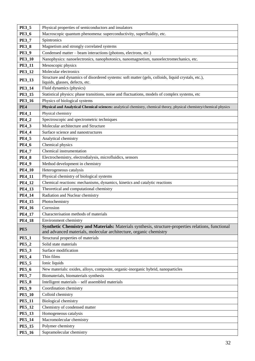| <b>PE3_5</b>  | Physical properties of semiconductors and insulators                                                                                  |
|---------------|---------------------------------------------------------------------------------------------------------------------------------------|
| <b>PE3_6</b>  | Macroscopic quantum phenomena: superconductivity, superfluidity, etc.                                                                 |
| <b>PE3_7</b>  | Spintronics                                                                                                                           |
| <b>PE3_8</b>  | Magnetism and strongly correlated systems                                                                                             |
| <b>PE3_9</b>  | Condensed matter – beam interactions (photons, electrons, etc.)                                                                       |
| <b>PE3_10</b> | Nanophysics: nanoelectronics, nanophotonics, nanomagnetism, nanoelectromechanics, etc.                                                |
| <b>PE3_11</b> | Mesoscopic physics                                                                                                                    |
| <b>PE3_12</b> | Molecular electronics                                                                                                                 |
| <b>PE3_13</b> | Structure and dynamics of disordered systems: soft matter (gels, colloids, liquid crystals, etc.),<br>liquids, glasses, defects, etc. |
| <b>PE3_14</b> | Fluid dynamics (physics)                                                                                                              |
| PE3_15        | Statistical physics: phase transitions, noise and fluctuations, models of complex systems, etc                                        |
| <b>PE3_16</b> | Physics of biological systems                                                                                                         |
| PE4           | Physical and Analytical Chemical sciences: analytical chemistry, chemical theory, physical chemistry/chemical physics                 |
| <b>PE4_1</b>  | Physical chemistry                                                                                                                    |
| <b>PE4_2</b>  | Spectroscopic and spectrometric techniques                                                                                            |
| <b>PE4_3</b>  | Molecular architecture and Structure                                                                                                  |
| <b>PE4_4</b>  | Surface science and nanostructures                                                                                                    |
| <b>PE4_5</b>  | Analytical chemistry                                                                                                                  |
| <b>PE4_6</b>  | Chemical physics                                                                                                                      |
| <b>PE4_7</b>  | Chemical instrumentation                                                                                                              |
| <b>PE4_8</b>  | Electrochemistry, electrodialysis, microfluidics, sensors                                                                             |
| <b>PE4_9</b>  | Method development in chemistry                                                                                                       |
| <b>PE4_10</b> | Heterogeneous catalysis                                                                                                               |
| <b>PE4_11</b> | Physical chemistry of biological systems                                                                                              |
| PE4_12        | Chemical reactions: mechanisms, dynamics, kinetics and catalytic reactions                                                            |
| PE4_13        | Theoretical and computational chemistry                                                                                               |
| <b>PE4_14</b> | Radiation and Nuclear chemistry                                                                                                       |
| PE4_15        | Photochemistry                                                                                                                        |
| <b>PE4_16</b> | Corrosion                                                                                                                             |
| <b>PE4 17</b> | Characterisation methods of materials                                                                                                 |
| <b>PE4_18</b> | Environment chemistry                                                                                                                 |
| PE5           | Synthetic Chemistry and Materials: Materials synthesis, structure-properties relations, functional                                    |
|               | and advanced materials, molecular architecture, organic chemistry                                                                     |
| <b>PE5_1</b>  | Structural properties of materials                                                                                                    |
| <b>PE5_2</b>  | Solid state materials                                                                                                                 |
| <b>PE5_3</b>  | Surface modification                                                                                                                  |
| <b>PE5_4</b>  | Thin films                                                                                                                            |
| <b>PE5_5</b>  | Ionic liquids                                                                                                                         |
| <b>PE5_6</b>  | New materials: oxides, alloys, composite, organic-inorganic hybrid, nanoparticles                                                     |
| <b>PE5_7</b>  | Biomaterials, biomaterials synthesis                                                                                                  |
| <b>PE5_8</b>  | Intelligent materials - self assembled materials                                                                                      |
| <b>PE5_9</b>  | Coordination chemistry                                                                                                                |
| <b>PE5_10</b> | Colloid chemistry                                                                                                                     |
| <b>PE5_11</b> | <b>Biological chemistry</b>                                                                                                           |
| <b>PE5_12</b> | Chemistry of condensed matter                                                                                                         |
| <b>PE5_13</b> | Homogeneous catalysis                                                                                                                 |
| <b>PE5_14</b> | Macromolecular chemistry                                                                                                              |
| <b>PE5_15</b> | Polymer chemistry                                                                                                                     |
| <b>PE5_16</b> | Supramolecular chemistry                                                                                                              |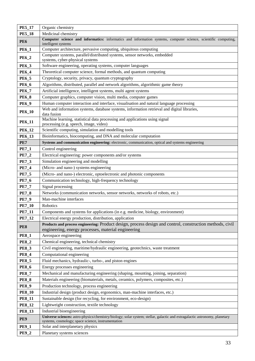| <b>PE5_17</b>   | Organic chemistry                                                                                                                     |
|-----------------|---------------------------------------------------------------------------------------------------------------------------------------|
| <b>PE5_18</b>   | Medicinal chemistry                                                                                                                   |
| PE <sub>6</sub> | Computer science and informatics: informatics and information systems, computer science, scientific computing,<br>intelligent systems |
| <b>PE6_1</b>    | Computer architecture, pervasive computing, ubiquitous computing                                                                      |
| <b>PE6_2</b>    | Computer systems, parallel/distributed systems, sensor networks, embedded<br>systems, cyber-physical systems                          |
| <b>PE6_3</b>    | Software engineering, operating systems, computer languages                                                                           |
| <b>PE6_4</b>    | Theoretical computer science, formal methods, and quantum computing                                                                   |
| <b>PE6_5</b>    | Cryptology, security, privacy, quantum cryptography                                                                                   |
| <b>PE6_6</b>    | Algorithms, distributed, parallel and network algorithms, algorithmic game theory                                                     |
| <b>PE6_7</b>    | Artificial intelligence, intelligent systems, multi agent systems                                                                     |
| <b>PE6_8</b>    | Computer graphics, computer vision, multi media, computer games                                                                       |
| <b>PE6_9</b>    | Human computer interaction and interface, visualisation and natural language processing                                               |
| <b>PE6_10</b>   | Web and information systems, database systems, information retrieval and digital libraries,<br>data fusion                            |
| <b>PE6_11</b>   | Machine learning, statistical data processing and applications using signal<br>processing (e.g. speech, image, video)                 |
| <b>PE6_12</b>   | Scientific computing, simulation and modelling tools                                                                                  |
| PE6_13          | Bioinformatics, biocomputing, and DNA and molecular computation                                                                       |
| PE7             | Systems and communication engineering: electronic, communication, optical and systems engineering                                     |
| <b>PE7_1</b>    | Control engineering                                                                                                                   |
| $PE7_2$         | Electrical engineering: power components and/or systems                                                                               |
| <b>PE7_3</b>    | Simulation engineering and modelling                                                                                                  |
| <b>PE7_4</b>    | (Micro- and nano-) systems engineering                                                                                                |
| <b>PE7_5</b>    | (Micro- and nano-) electronic, optoelectronic and photonic components                                                                 |
| <b>PE7_6</b>    | Communication technology, high-frequency technology                                                                                   |
| <b>PE7_7</b>    | Signal processing                                                                                                                     |
| <b>PE7_8</b>    | Networks (communication networks, sensor networks, networks of robots, etc.)                                                          |
| <b>PE7_9</b>    | Man-machine interfaces                                                                                                                |
| <b>PE7_10</b>   | Robotics                                                                                                                              |
| PE7_11          | Components and systems for applications (in e.g. medicine, biology, environment)                                                      |
| PE7_12          | Electrical energy production, distribution, application                                                                               |
| PE8             | Products and process engineering: Product design, process design and control, construction methods, civil                             |
| <b>PE8_1</b>    | engineering, energy processes, material engineering<br>Aerospace engineering                                                          |
| <b>PE8_2</b>    | Chemical engineering, technical chemistry                                                                                             |
| <b>PE8_3</b>    | Civil engineering, maritime/hydraulic engineering, geotechnics, waste treatment                                                       |
| <b>PE8_4</b>    | Computational engineering                                                                                                             |
| <b>PE8_5</b>    | Fluid mechanics, hydraulic-, turbo-, and piston engines                                                                               |
| <b>PE8_6</b>    | Energy processes engineering                                                                                                          |
| <b>PE8_7</b>    | Mechanical and manufacturing engineering (shaping, mounting, joining, separation)                                                     |
| <b>PE8_8</b>    | Materials engineering (biomaterials, metals, ceramics, polymers, composites, etc.)                                                    |
| <b>PE8_9</b>    | Production technology, process engineering                                                                                            |
| <b>PE8_10</b>   | Industrial design (product design, ergonomics, man-machine interfaces, etc.)                                                          |
| <b>PE8_11</b>   | Sustainable design (for recycling, for environment, eco-design)                                                                       |
| <b>PE8_12</b>   | Lightweight construction, textile technology                                                                                          |
| <b>PE8_13</b>   | Industrial bioengineering                                                                                                             |
|                 | Universe sciences: astro-physics/chemistry/biology; solar system; stellar, galactic and extragalactic astronomy, planetary            |
| PE9             | systems, cosmology; space science, instrumentation                                                                                    |
| <b>PE9_1</b>    | Solar and interplanetary physics                                                                                                      |
| <b>PE9_2</b>    | Planetary systems sciences                                                                                                            |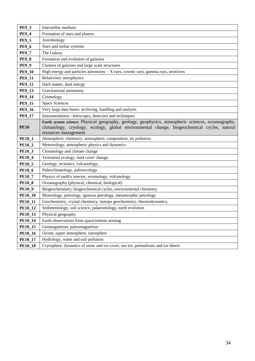| <b>PE9_3</b>   | Interstellar medium                                                                                                                                                                                                       |
|----------------|---------------------------------------------------------------------------------------------------------------------------------------------------------------------------------------------------------------------------|
| <b>PE9_4</b>   | Formation of stars and planets                                                                                                                                                                                            |
| <b>PE9_5</b>   | Astrobiology                                                                                                                                                                                                              |
| <b>PE9_6</b>   | Stars and stellar systems                                                                                                                                                                                                 |
| <b>PE9 7</b>   | The Galaxy                                                                                                                                                                                                                |
| <b>PE9_8</b>   | Formation and evolution of galaxies                                                                                                                                                                                       |
| <b>PE9_9</b>   | Clusters of galaxies and large scale structures                                                                                                                                                                           |
| <b>PE9_10</b>  | High energy and particles astronomy $-$ X-rays, cosmic rays, gamma rays, neutrinos                                                                                                                                        |
| <b>PE9_11</b>  | Relativistic astrophysics                                                                                                                                                                                                 |
| <b>PE9_12</b>  | Dark matter, dark energy                                                                                                                                                                                                  |
| <b>PE9_13</b>  | Gravitational astronomy                                                                                                                                                                                                   |
| <b>PE9_14</b>  | Cosmology                                                                                                                                                                                                                 |
| <b>PE9_15</b>  | <b>Space Sciences</b>                                                                                                                                                                                                     |
| <b>PE9_16</b>  | Very large data bases: archiving, handling and analysis                                                                                                                                                                   |
| <b>PE9_17</b>  | Instrumentation - telescopes, detectors and techniques                                                                                                                                                                    |
| <b>PE10</b>    | Earth system science: Physical geography, geology, geophysics, atmospheric sciences, oceanography,<br>climatology, cryology, ecology, global environmental change, biogeochemical cycles, natural<br>resources management |
| <b>PE10_1</b>  | Atmospheric chemistry, atmospheric composition, air pollution                                                                                                                                                             |
| <b>PE10_2</b>  | Meteorology, atmospheric physics and dynamics                                                                                                                                                                             |
| <b>PE10_3</b>  | Climatology and climate change                                                                                                                                                                                            |
| <b>PE10_4</b>  | Terrestrial ecology, land cover change,                                                                                                                                                                                   |
| <b>PE10_5</b>  | Geology, tectonics, volcanology,                                                                                                                                                                                          |
| <b>PE10_6</b>  | Paleoclimatology, paleoecology                                                                                                                                                                                            |
| <b>PE10_7</b>  | Physics of earth's interior, seismology, volcanology                                                                                                                                                                      |
| <b>PE10_8</b>  | Oceanography (physical, chemical, biological)                                                                                                                                                                             |
| <b>PE10_9</b>  | Biogeochemistry, biogeochemical cycles, environmental chemistry                                                                                                                                                           |
| <b>PE10_10</b> | Mineralogy, petrology, igneous petrology, metamorphic petrology                                                                                                                                                           |
| <b>PE10_11</b> | Geochemistry, crystal chemistry, isotope geochemistry, thermodynamics,                                                                                                                                                    |
| <b>PE10_12</b> | Sedimentology, soil science, palaeontology, earth evolution                                                                                                                                                               |
| <b>PE10_13</b> | Physical geography                                                                                                                                                                                                        |
| <b>PE10_14</b> | Earth observations from space/remote sensing                                                                                                                                                                              |
| <b>PE10_15</b> | Geomagnetism, paleomagnetism                                                                                                                                                                                              |
| <b>PE10_16</b> | Ozone, upper atmosphere, ionosphere                                                                                                                                                                                       |
| <b>PE10_17</b> | Hydrology, water and soil pollution                                                                                                                                                                                       |
| <b>PE10_18</b> | Cryosphere, dynamics of snow and ice cover, sea ice, permafrosts and ice sheets                                                                                                                                           |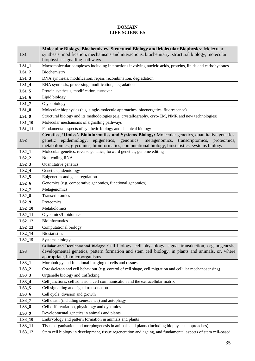#### **DOMAIN LIFE SCIENCES**

|                    | Molecular Biology, Biochemistry, Structural Biology and Molecular Biophysics: Molecular                      |
|--------------------|--------------------------------------------------------------------------------------------------------------|
| LS1                | synthesis, modification, mechanisms and interactions, biochemistry, structural biology, molecular            |
|                    | biophysics signalling pathways                                                                               |
| $LS1_1$            | Macromolecular complexes including interactions involving nucleic acids, proteins, lipids and carbohydrates  |
| $LS1_2$            | Biochemistry                                                                                                 |
| $LS1_3$            | DNA synthesis, modification, repair, recombination, degradation                                              |
| $LS1_4$            | RNA synthesis, processing, modification, degradation                                                         |
| $LS1_5$            | Protein synthesis, modification, turnover                                                                    |
| $LS1_6$            | Lipid biology                                                                                                |
| $LS1_7$            | Glycobiology                                                                                                 |
| $LS1_8$            | Molecular biophysics (e.g. single-molecule approaches, bioenergetics, fluorescence)                          |
| $LS1_9$            | Structural biology and its methodologies (e.g. crystallography, cryo-EM, NMR and new technologies)           |
| $LS1_10$           | Molecular mechanisms of signalling pathways                                                                  |
| $LS1_11$           | Fundamental aspects of synthetic biology and chemical biology                                                |
|                    | Genetics, 'Omics', Bioinformatics and Systems Biology: Molecular genetics, quantitative genetics,            |
| LS <sub>2</sub>    | epidemiology,<br>epigenetics, genomics, metagenomics, transcriptomics, proteomics,<br>genetic                |
|                    | metabolomics, glycomics, bioinformatics, computational biology, biostatistics, systems biology               |
| $LS2_1$            | Molecular genetics, reverse genetics, forward genetics, genome editing                                       |
| $LS2_2$            | Non-coding RNAs                                                                                              |
| $LS2_3$            | Quantitative genetics<br>Genetic epidemiology                                                                |
| $LS2_4$            |                                                                                                              |
| $LS2_5$            | Epigenetics and gene regulation                                                                              |
| $LS2_6$            | Genomics (e.g. comparative genomics, functional genomics)                                                    |
| $LS2_7$            | Metagenomics                                                                                                 |
| $LS2_8$<br>$LS2_9$ | Transcriptomics<br>Proteomics                                                                                |
|                    |                                                                                                              |
| $LS2_10$           | Metabolomics<br>Glycomics/Lipidomics                                                                         |
| LS2_11<br>LS2_12   | <b>Bioinformatics</b>                                                                                        |
| $LS2_13$           | Computational biology                                                                                        |
| $LS2_14$           | <b>Biostatistics</b>                                                                                         |
| $LS2_15$           | Systems biology                                                                                              |
|                    | Cellular and Developmental Biology: Cell biology, cell physiology, signal transduction, organogenesis,       |
| LS3                | developmental genetics, pattern formation and stem cell biology, in plants and animals, or, where            |
|                    | appropriate, in microorganisms                                                                               |
| $LS3_1$            | Morphology and functional imaging of cells and tissues                                                       |
| $LS3_2$            | Cytoskeleton and cell behaviour (e.g. control of cell shape, cell migration and cellular mechanosensing)     |
| $LS3_3$            | Organelle biology and trafficking                                                                            |
| $LS3_4$            | Cell junctions, cell adhesion, cell communication and the extracellular matrix                               |
| $LS3_5$            | Cell signalling and signal transduction                                                                      |
| $LS3_6$            | Cell cycle, division and growth                                                                              |
| $LS3_7$            | Cell death (including senescence) and autophagy                                                              |
| $LS3_8$            | Cell differentiation, physiology and dynamics                                                                |
| $LS3_9$            | Developmental genetics in animals and plants                                                                 |
| $LS3_10$           | Embryology and pattern formation in animals and plants                                                       |
| LS3_11             | Tissue organisation and morphogenesis in animals and plants (including biophysical approaches)               |
| LS3_12             | Stem cell biology in development, tissue regeneration and ageing, and fundamental aspects of stem cell-based |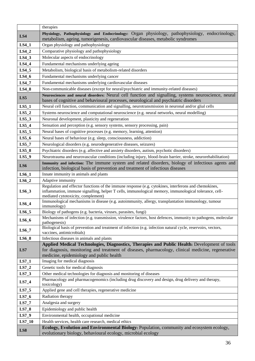|          | therapies                                                                                                                                                                                                                                            |
|----------|------------------------------------------------------------------------------------------------------------------------------------------------------------------------------------------------------------------------------------------------------|
| LS4      | Physiology, Pathophysiology and Endocrinology: Organ physiology, pathophysiology, endocrinology,<br>metabolism, ageing, tumorigenesis, cardiovascular diseases, metabolic syndromes                                                                  |
| $LS4_1$  | Organ physiology and pathophysiology                                                                                                                                                                                                                 |
| $LS4_2$  | Comparative physiology and pathophysiology                                                                                                                                                                                                           |
| $LS4_3$  | Molecular aspects of endocrinology                                                                                                                                                                                                                   |
| $LS4_4$  | Fundamental mechanisms underlying ageing                                                                                                                                                                                                             |
| $LS4_5$  | Metabolism, biological basis of metabolism-related disorders                                                                                                                                                                                         |
| $LS4_6$  | Fundamental mechanisms underlying cancer                                                                                                                                                                                                             |
| $LS4_7$  | Fundamental mechanisms underlying cardiovascular diseases                                                                                                                                                                                            |
| $LS4_8$  | Non-communicable diseases (except for neural/psychiatric and immunity-related diseases)                                                                                                                                                              |
| LS5      | Neurosciences and neural disorders: Neural cell function and signalling, systems neuroscience, neural<br>bases of cognitive and behavioural processes, neurological and psychiatric disorders                                                        |
| $LS5_1$  | Neural cell function, communication and signalling, neurotransmission in neuronal and/or glial cells                                                                                                                                                 |
| $LS5_2$  | Systems neuroscience and computational neuroscience (e.g. neural networks, neural modelling)                                                                                                                                                         |
| $LS5_3$  | Neuronal development, plasticity and regeneration                                                                                                                                                                                                    |
| $LS5_4$  | Sensation and perception (e.g. sensory systems, sensory processing, pain)                                                                                                                                                                            |
| $LS5_5$  | Neural bases of cognitive processes (e.g. memory, learning, attention)                                                                                                                                                                               |
| $LS5_6$  | Neural bases of behaviour (e.g. sleep, consciousness, addiction)                                                                                                                                                                                     |
| $LS5_7$  | Neurological disorders (e.g. neurodegenerative diseases, seizures)                                                                                                                                                                                   |
| $LS5_8$  | Psychiatric disorders (e.g. affective and anxiety disorders, autism, psychotic disorders)                                                                                                                                                            |
| $LS5_9$  | Neurotrauma and neurovascular conditions (including injury, blood-brain barrier, stroke, neurorehabilitation)                                                                                                                                        |
| LS6      | Immunity and infection: The immune system and related disorders, biology of infectious agents and<br>infection, biological basis of prevention and treatment of infectious diseases                                                                  |
| $LS6_1$  | Innate immunity in animals and plants                                                                                                                                                                                                                |
| $LS6_2$  | Adaptive immunity                                                                                                                                                                                                                                    |
| $LS6_3$  | Regulation and effector functions of the immune response (e.g. cytokines, interferons and chemokines,<br>inflammation, immune signalling, helper T cells, immunological memory, immunological tolerance, cell-<br>mediated cytotoxicity, complement) |
| $LS6_4$  | Immunological mechanisms in disease (e.g. autoimmunity, allergy, transplantation immunology, tumour<br>immunology)                                                                                                                                   |
| LS6_5    | Biology of pathogens (e.g. bacteria, viruses, parasites, fungi)                                                                                                                                                                                      |
| $LS6_6$  | Mechanisms of infection (e.g. transmission, virulence factors, host defences, immunity to pathogens, molecular<br>pathogenesis)                                                                                                                      |
| $LS6_7$  | Biological basis of prevention and treatment of infection (e.g. infection natural cycle, reservoirs, vectors,<br>vaccines, antimicrobials)                                                                                                           |
| $LS6_8$  | Infectious diseases in animals and plants                                                                                                                                                                                                            |
| LS7      | Applied Medical Technologies, Diagnostics, Therapies and Public Health: Development of tools<br>for diagnosis, monitoring and treatment of diseases, pharmacology, clinical medicine, regenerative<br>medicine, epidemiology and public health       |
| $LS7_1$  | Imaging for medical diagnosis                                                                                                                                                                                                                        |
| $LS7_2$  | Genetic tools for medical diagnosis                                                                                                                                                                                                                  |
| $LS7_3$  | Other medical technologies for diagnosis and monitoring of diseases                                                                                                                                                                                  |
| $LS7_4$  | Pharmacology and pharmacogenomics (including drug discovery and design, drug delivery and therapy,<br>toxicology)                                                                                                                                    |
| $LS7_5$  | Applied gene and cell therapies, regenerative medicine                                                                                                                                                                                               |
| $LS7_6$  | Radiation therapy                                                                                                                                                                                                                                    |
| $LS7_7$  | Analgesia and surgery                                                                                                                                                                                                                                |
| $LS7_8$  | Epidemiology and public health                                                                                                                                                                                                                       |
| $LS7_9$  | Environmental health, occupational medicine                                                                                                                                                                                                          |
| $LS7_10$ | Health services, health care research, medical ethics                                                                                                                                                                                                |
| LS8      | Ecology, Evolution and Environmental Biology: Population, community and ecosystem ecology,<br>evolutionary biology, behavioural ecology, microbial ecology                                                                                           |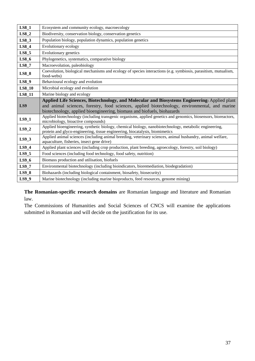| $LS8_1$       | Ecosystem and community ecology, macroecology                                                                                                                                                                                                                              |
|---------------|----------------------------------------------------------------------------------------------------------------------------------------------------------------------------------------------------------------------------------------------------------------------------|
| $LS8_2$       | Biodiversity, conservation biology, conservation genetics                                                                                                                                                                                                                  |
| $LS8_3$       | Population biology, population dynamics, population genetics                                                                                                                                                                                                               |
| $LS8_4$       | Evolutionary ecology                                                                                                                                                                                                                                                       |
| $LS8_5$       | Evolutionary genetics                                                                                                                                                                                                                                                      |
| $LS8_6$       | Phylogenetics, systematics, comparative biology                                                                                                                                                                                                                            |
| $LS8_7$       | Macroevolution, paleobiology                                                                                                                                                                                                                                               |
| $LS8_8$       | Coevolution, biological mechanisms and ecology of species interactions (e.g. symbiosis, parasitism, mutualism,<br>food-webs)                                                                                                                                               |
| LS8 9         | Behavioural ecology and evolution                                                                                                                                                                                                                                          |
| <b>LS8_10</b> | Microbial ecology and evolution                                                                                                                                                                                                                                            |
| LS8_11        | Marine biology and ecology                                                                                                                                                                                                                                                 |
| LS9           | Applied Life Sciences, Biotechnology, and Molecular and Biosystems Engineering: Applied plant<br>and animal sciences, forestry, food sciences, applied biotechnology, environmental, and marine<br>biotechnology, applied bioengineering, biomass and biofuels, biohazards |
| $LS9_1$       | Applied biotechnology (including transgenic organisms, applied genetics and genomics, biosensors, bioreactors,<br>microbiology, bioactive compounds)                                                                                                                       |
| $LS9_2$       | Applied bioengineering, synthetic biology, chemical biology, nanobiotechnology, metabolic engineering,<br>protein and glyco-engineering, tissue engineering, biocatalysis, biomimetics                                                                                     |
| $LS9_3$       | Applied animal sciences (including animal breeding, veterinary sciences, animal husbandry, animal welfare,<br>aquaculture, fisheries, insect gene drive)                                                                                                                   |
| $LS9_4$       | Applied plant sciences (including crop production, plant breeding, agroecology, forestry, soil biology)                                                                                                                                                                    |
| $LS9_5$       | Food sciences (including food technology, food safety, nutrition)                                                                                                                                                                                                          |
| $LS9_6$       | Biomass production and utilisation, biofuels                                                                                                                                                                                                                               |
| $LS9_7$       | Environmental biotechnology (including bioindicators, bioremediation, biodegradation)                                                                                                                                                                                      |
| $LS9_8$       | Biohazards (including biological containment, biosafety, biosecurity)                                                                                                                                                                                                      |
| LS9 9         | Marine biotechnology (including marine bioproducts, feed resources, genome mining)                                                                                                                                                                                         |

**The Romanian-specific research domains** are Romanian language and literature and Romanian law.

The Commissions of Humanities and Social Sciences of CNCS will examine the applications submitted in Romanian and will decide on the justification for its use.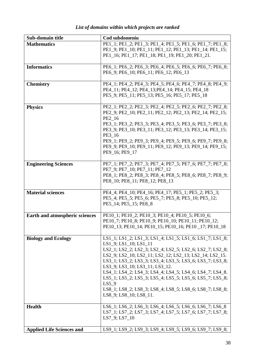| Sub-domain title                 | Cod subdomeniu                                                                                                                                                                                                                                                                                                                                                                                                                                                                                                                    |
|----------------------------------|-----------------------------------------------------------------------------------------------------------------------------------------------------------------------------------------------------------------------------------------------------------------------------------------------------------------------------------------------------------------------------------------------------------------------------------------------------------------------------------------------------------------------------------|
| <b>Mathematics</b>               | PE1 1; PE1 2; PE1 3; PE1 4; PE1 5; PE1 6; PE1 7; PE1 8;<br>PE1 9; PE1 10; PE1 11; PE1 12; PE1 13; PE1 14; PE1 15;<br>PE1_16; PE1_17; PE1_18; PE1_19; PE1_20; PE1_21.                                                                                                                                                                                                                                                                                                                                                              |
| <b>Informatics</b>               | PE6_1; PE6_2; PE6_3; PE6_4; PE6_5; PE6_6; PE6_7; PE6_8;<br>PE6_9; PE6_10; PE6_11; PE6_12; PE6_13                                                                                                                                                                                                                                                                                                                                                                                                                                  |
| <b>Chemistry</b>                 | PE4_1; PE4_2; PE4_3; PE4_5; PE4_6; PE4_7; PE4_8; PE4_9;<br>PE4_11; PE4_12; PE4_13; PE4_14; PE4_15; PE4_18<br>PE5_9; PE5_11; PE5_13; PE5_16; PE5_17; PE5_18                                                                                                                                                                                                                                                                                                                                                                        |
| <b>Physics</b>                   | PE2_1; PE2_2; PE2_3; PE2_4; PE2_5; PE2_6; PE2_7; PE2_8;<br>PE2_9; PE2_10; PE2_11; PE2_12; PE2_13; PE2_14; PE2_15;<br>PE2_16<br>PE3_1; PE3_2; PE3_3; PE3_4; PE3_5; PE3_6; PE3_7; PE3_8;<br>PE3_9; PE3_10; PE3_11; PE3_12; PE3_13; PE3_14; PE3_15;<br>PE3 16<br>PE9_1; PE9_2; PE9_3; PE9_4; PE9_5; PE9_6; PE9_7; PE9_8;<br>PE9_9; PE9_10; PE9_11; PE9_12; PE9_13; PE9_14; PE9_15;<br>PE9_16; PE9_17                                                                                                                                 |
| <b>Engineering Sciences</b>      | PE7_1; PE7_2; PE7_3; PE7_4; PE7_5; PE7_6; PE7_7; PE7_8;<br>PE7_9; PE7_10; PE7_11; PE7_12<br>PE8_1; PE8_2; PE8_3; PE8_4; PE8_5; PE8_6; PE8_7; PE8_9;<br>PE8_10; PE8_11; PE8_12; PE8_13                                                                                                                                                                                                                                                                                                                                             |
| <b>Material sciences</b>         | PE4_4; PE4_10; PE4_16; PE4_17; PE5_1; PE5_2; PE5_3;<br>PE5_4; PE5_5; PE5_6; PE5_7; PE5_8; PE5_10; PE5_12;<br>PE5_14; PE5_15; PE8_8                                                                                                                                                                                                                                                                                                                                                                                                |
| Earth and atmospheric sciences   | PE10_1; PE10_2; PE10_3; PE10_4; PE10_5; PE10_6;<br>PE10_7; PE10_8; PE10_9; PE10_10; PE10_11; PE10_12;<br>PE10_13; PE10_14; PE10_15; PE10_16; PE10_17; PE10_18                                                                                                                                                                                                                                                                                                                                                                     |
| <b>Biology and Ecology</b>       | LS1_1; LS1_2; LS1_3; LS1_4; LS1_5; LS1_6; LS1_7; LS1_8;<br>LS1_9; LS1_10; LS1_11<br>LS2 1; LS2 2; LS2 3; LS2 4; LS2 5; LS2 6; LS2 7; LS2 8;<br>LS2 9; LS2 10; LS2 11; LS2 12; LS2 13; LS2 14; LS2 15.<br>LS3_1; LS3_2; LS3_3; LS3_4; LS3_5; LS3_6; LS3_7; LS3_8;<br>LS3_9; LS3_10; LS3_11; LS3_12.<br>LS4_1; LS4_2; LS4_3; LS4_4; LS4_5; LS4_6; LS4_7; LS4_8.<br>LS5_1; LS5_2; LS5_3; LS5_4; LS5_5; LS5_6; LS5_7; LS5_8;<br>$LS5_9$<br>LS8_1; LS8_2; LS8_3; LS8_4; LS8_5; LS8_6; LS8_7; LS8_8;<br>$LS8_9$ ; $LS8_10$ ; $LS8_11$ . |
| <b>Health</b>                    | LS6_1; LS6_2; LS6_3; LS6_4; LS6_5; LS6_6; LS6_7; LS6_8<br>LS7_1; LS7_2; LS7_3; LS7_4; LS7_5; LS7_6; LS7_7; LS7_8;<br>LS7_9; LS7_10                                                                                                                                                                                                                                                                                                                                                                                                |
| <b>Applied Life Sciences and</b> | LS9_1; LS9_2; LS9_3; LS9_4; LS9_5; LS9_6; LS9_7; LS9_8;                                                                                                                                                                                                                                                                                                                                                                                                                                                                           |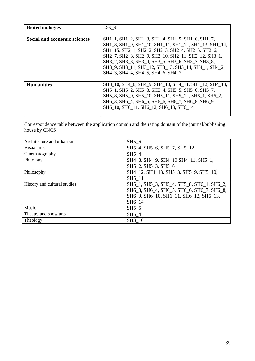| <b>Biotechnologies</b>              | LS9 9                                                                                                                                                                                                                                                                                                                                                                  |
|-------------------------------------|------------------------------------------------------------------------------------------------------------------------------------------------------------------------------------------------------------------------------------------------------------------------------------------------------------------------------------------------------------------------|
| <b>Social and economic sciences</b> | SH1_1, SH1_2, SH1_3, SH1_4, SH1_5, SH1_6, SH1_7,<br>SH1_8, SH1_9, SH1_10, SH1_11, SH1_12, SH1_13, SH1_14,<br>SH1 15, SH2 1, SH2 2, SH2 3, SH2 4, SH2 5, SH2 6,<br>SH2_7, SH2_8, SH2_9, SH2_10, SH2_11, SH2_12, SH3_1,<br>SH3_2, SH3_3, SH3_4, SH3_5, SH3_6, SH3_7, SH3_8,<br>SH3_9, SH3_11, SH3_12, SH3_13, SH3_14, SH4_1, SH4_2,<br>SH4 3, SH4 4, SH4 5, SH4 6, SH4 7 |
| <b>Humanities</b>                   | SH3_10, SH4_8, SH4_9, SH4_10, SH4_11, SH4_12, SH4_13,<br>SH5_1, SH5_2, SH5_3, SH5_4, SH5_5, SH5_6, SH5_7,<br>SH5_8, SH5_9, SH5_10, SH5_11, SH5_12, SH6_1, SH6_2,<br>SH6_3, SH6_4, SH6_5, SH6_6, SH6_7, SH6_8, SH6_9,<br>SH6 10, SH6 11, SH6 12, SH6 13, SH6 14                                                                                                         |

Correspondence table between the application domain and the rating domain of the journal/publishing house by CNCS

| Architecture and urbanism    | SH5 6                                     |
|------------------------------|-------------------------------------------|
| Visual arts                  | SH5_4, SH5_6, SH5_7, SH5_12               |
| Cinematography               | SH5 4                                     |
| Philology                    | SH4_8, SH4_9, SH4_10 SH4_11, SH5_1,       |
|                              | SH5_2, SH5_3, SH5_6                       |
| Philosophy                   | SH4_12, SH4_13, SH5_3, SH5_9, SH5_10,     |
|                              | SH5 11                                    |
| History and cultural studies | SH5_1, SH5_3, SH5_4, SH5_8, SH6_1, SH6_2, |
|                              | SH6_3, SH6_4, SH6_5, SH6_6, SH6_7, SH6_8, |
|                              | SH6_9, SH6_10, SH6_11, SH6_12, SH6_13,    |
|                              | SH6 14                                    |
| Music                        | SH <sub>5</sub> 5                         |
| Theatre and show arts        | SH5 4                                     |
| Theology                     | SH3 10                                    |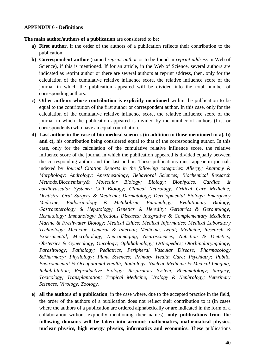#### <span id="page-39-0"></span>**APPENDIX 6 - Definitions**

**The main author/authors of a publication** are considered to be:

- **a) First author**, if the order of the authors of a publication reflects their contribution to the publication;
- **b) Correspondent author** (named *reprint author* or to be found in *reprint address* in Web of Science), if this is mentioned. If for an article, in the Web of Science, several authors are indicated as reprint author or there are several authors at reprint address, then, only for the calculation of the cumulative relative influence score, the relative influence score of the journal in which the publication appeared will be divided into the total number of corresponding authors.
- **c) Other authors whose contribution is explicitly mentioned** within the publication to be equal to the contribution of the first author or correspondent author. In this case, only for the calculation of the cumulative relative influence score, the relative influence score of the journal in which the publication appeared is divided by the number of authors (first or correspondents) who have an equal contribution.
- **d) Last author in the case of bio-medical sciences (in addition to those mentioned in a), b)**  and c), his contribution being considered equal to that of the corresponding author. In this case, only for the calculation of the cumulative relative influence score, the relative influence score of the journal in which the publication appeared is divided equally between the corresponding author and the last author. These publications must appear in journals indexed by *Journal Citation Reports in the following categories*: *Allergy; Anatomy & Morphology; Andrology; Anesthesiology; Behavioral Sciences; Biochemical Research Methods;Biochemistry& Molecular Biology; Biology; Biophysics; Cardiac & cardiovascular Systems; Cell Biology; Clinical Neurology; Critical Care Medicine; Dentistry, Oral Surgery & Medicine; Dermatology; Developmental Biology; Emergency Medicine; Endocrinology & Metabolism; Entomology; Evolutionary Biology; Gastroenterology & Hepatology; Genetics & Heredity; Geriatrics & Gerontology; Hematology; Immunology; Infectious Diseases; Integrative & Complementary Medicine; Marine & Freshwater Biology; Medical Ethics; Medical Informatics; Medical Laboratory Technology; Medicine, General & Internal; Medicine, Legal; Medicine, Research & Experimental; Microbiology; Neuroimaging; Neurosciences; Nutrition & Dietetics; Obstetrics & Gynecology; Oncology; Ophthalmology; Orthopedics; Otorhinolaryngology; Parasitology; Pathology; Pediatrics; Peripheral Vascular Disease; Pharmacology &Pharmacy; Physiology; Plant Sciences; Primary Health Care; Psychiatry; Public, Environmental & Occupational Health; Radiology, Nuclear Medicine & Medical Imaging; Rehabilitation; Reproductive Biology; Respiratory System; Rheumatology; Surgery; Toxicology; Transplantation; Tropical Medicine; Urology & Nephrology; Veterinary Sciences; Virology; Zoology.*
- **e) all the authors of a publication**, in the case where, due to the accepted practice in the field, the order of the authors of a publication does not reflect their contribution to it (in cases where the authors of a publication are ordered alphabetically or are indicated in the form of a collaboration without explicitly mentioning their names), **only publications from the following domains will be taken into account**: **mathematics, mathematical physics, nuclear physics, high energy physics, informatics and economics.** These publications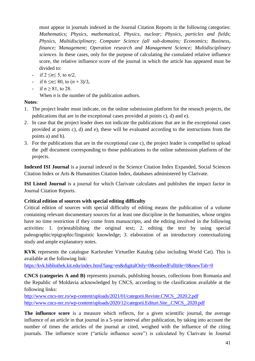must appear in journals indexed in the Journal Citation Reports in the following categories: *Mathematics*; *Physics, mathematical*, *Physics, nuclear*; *Physics, particles and fields*; *Physics, Multidisciplinary*; *Computer Science (all sub-domains; Economics; Business, finance; Management; Operation research and Management Science; Multidisciplinary sciences*. In these cases, only for the purpose of calculating the cumulated relative influence score, the relative influence score of the journal in which the article has appeared must be divided to:

- if 2 ≤*n*≤ 5, to *n/2*,
- if 6 ≤*n*≤ 80, to (*n* + 3)/3,
- if  $n > 81$ , to 28.

When *n* is the number of the publication authors.

## **Notes**:

- 1. The project leader must indicate, on the online submission platform for the reseach projects, the publications that are in the exceptional cases provided at points c), d) and e).
- 2. In case that the project leader does not indicate the publications that are in the exceptional cases provided at points c), d) and e), these will be evaluated according to the instructions from the points a) and b).
- 3. For the publications that are in the exceptional case c), the project leader is compelled to upload the .pdf document corresponding to those publications to the online submission platform of the projects.

**Indexed ISI Journal** is a journal indexed in the Science Citation Index Expanded, Social Sciences Citation Index or Arts & Humanities Citation Index, databases administered by Clarivate.

**ISI Listed Journal** is a journal for which Clarivate calculates and publishes the impact factor in Journal Citation Reports.

## **Critical edition of sources with special editing difficulty**

Critical edition of sources with special difficulty of editing means the publication of a volume containing relevant documentary sources for at least one discipline in the humanities, whose origins have no time restriction if they come from manuscripts, and the editing involved in the following activities: 1. (re)establishing the original text; 2. editing the text by using special paleographic/epigraphic/linguistic knowledge; 3. elaboration of an introductory contextualizing study and ample explanatory notes.

**KVK** represents the catalogue Karlsruher Virtueller Katalog (also including World Cat). This is available at the following link:

https://kvk.bibliothek.kit.edu/index.html?lang=en&digitalOnly=0&embedFulltitle=0&newTab=0

**CNCS (categories A and B)** represents journals, publishing houses, collections from Romania and the Republic of Moldavia acknowledged by CNCS, according to the clasification available at the following links:

[http://www.cncs-nrc.ro/wp-content/uploads/2021/01/categorii.Reviste.CNCS\\_.2020.2.pdf](http://www.cncs-nrc.ro/wp-content/uploads/2021/01/categorii.Reviste.CNCS_.2020.2.pdf) [http://www.cncs-nrc.ro/wp-content/uploads/2020/12/categorii.Edituri.Site\\_.CNCS\\_.2020.pdf](http://www.cncs-nrc.ro/wp-content/uploads/2020/12/categorii.Edituri.Site_.CNCS_.2020.pdf)

**The influence score** is a measure which reflects, for a given scientific journal, the average influence of an article in that journal in a 5-year interval after publication, by taking into account the number of times the articles of the journal ar cited, weighed with the influence of the citing journals. The influence score ("article influence score") is calculated by Clarivate în Journal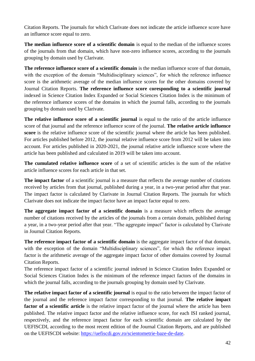Citation Reports. The journals for which Clarivate does not indicate the article influence score have an influence score equal to zero.

**The median influence score of a scientific domain** is equal to the median of the influence scores of the journals from that domain, which have non-zero influence scores, according to the journals grouping by domain used by Clarivate.

**The reference influence score of a scientific domain** is the median influence score of that domain, with the exception of the domain "Multidisciplinary sciences", for which the reference influence score is the arithmetic average of the median influence scores for the other domains covered by Journal Citation Reports. **The reference influence score coresponding to a scientific journal** indexed in Science Citation Index Expanded or Social Sciences Citation Index is the minimum of the reference influence scores of the domains in which the journal falls, according to the journals grouping by domain used by Clarivate.

**The relative influence score of a scientific journal** is equal to the ratio of the article influence score of that journal and the reference influence score of the journal. **The relative article influence score** is the relative influence score of the scientific journal where the article has been published. For articles published before 2012, the journal relative influence score from 2012 will be taken into account. For articles published in 2020-2021, the journal relative article influence score where the article has been published and calculated in 2019 will be taken into account.

**The cumulated relative influence score** of a set of scientific articles is the sum of the relative article influence scores for each article in that set.

**The impact factor** of a scientific journal is a measure that reflects the average number of citations received by articles from that journal, published during a year, in a two-year period after that year. The impact factor is calculated by Clarivate in Journal Citation Reports. The journals for which Clarivate does not indicate the impact factor have an impact factor equal to zero.

**The aggregate impact factor of a scientific domain** is a measure which reflects the average number of citations received by the articles of the journals from a certain domain, published during a year, in a two-year period after that year. "The aggregate impact" factor is calculated by Clarivate in Journal Citation Reports.

**The reference impact factor of a scientific domain** is the aggregate impact factor of that domain, with the exception of the domain "Multidisciplinary sciences", for which the reference impact factor is the arithmetic average of the aggregate impact factor of other domains covered by Journal Citation Reports.

The reference impact factor of a scientific journal indexed in Science Citation Index Expanded or Social Sciences Citation Index is the minimum of the reference impact factors of the domains in which the journal falls, according to the journals grouping by domain used by Clarivate.

**The relative impact factor of a scientific journal** is equal to the ratio between the impact factor of the journal and the reference impact factor corresponding to that journal. **The relative impact**  factor of a scientific article is the relative impact factor of the journal where the article has been published. The relative impact factor and the relative influence score, for each ISI ranked journal, respectively, and the reference impact factor for each scientific domain are calculated by the UEFISCDI, according to the most recent edition of the Journal Citation Reports, and are published on the UEFISCDI website: [https://uefiscdi.gov.ro/scientometrie-baze-de-date.](https://uefiscdi.gov.ro/scientometrie-baze-de-date)